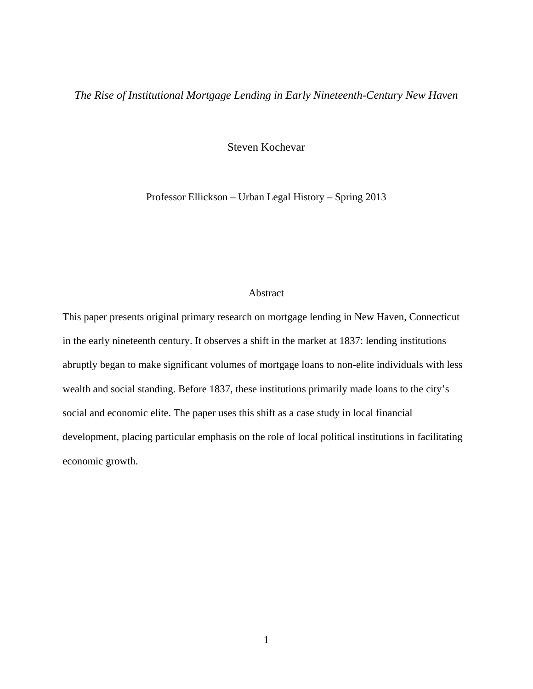## *The Rise of Institutional Mortgage Lending in Early Nineteenth-Century New Haven*

Steven Kochevar

Professor Ellickson – Urban Legal History – Spring 2013

## Abstract

This paper presents original primary research on mortgage lending in New Haven, Connecticut in the early nineteenth century. It observes a shift in the market at 1837: lending institutions abruptly began to make significant volumes of mortgage loans to non-elite individuals with less wealth and social standing. Before 1837, these institutions primarily made loans to the city's social and economic elite. The paper uses this shift as a case study in local financial development, placing particular emphasis on the role of local political institutions in facilitating economic growth.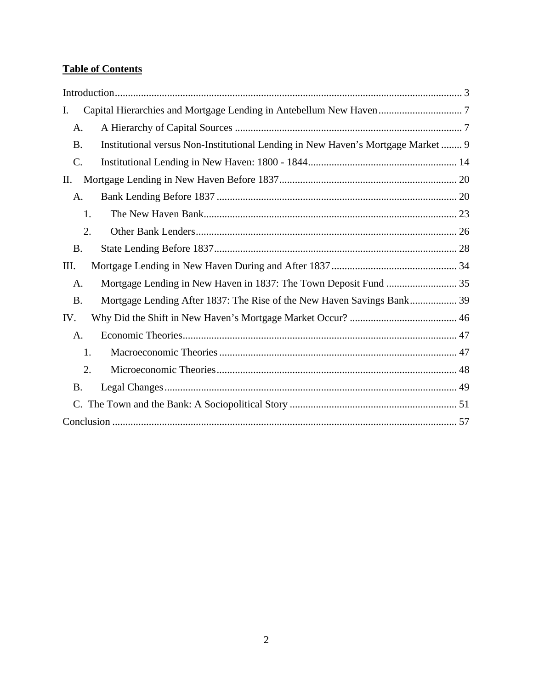# **Table of Contents**

| Ι.              |                                                                                  |
|-----------------|----------------------------------------------------------------------------------|
| A.              |                                                                                  |
| <b>B.</b>       | Institutional versus Non-Institutional Lending in New Haven's Mortgage Market  9 |
| $\mathcal{C}$ . |                                                                                  |
| П.              |                                                                                  |
| A.              |                                                                                  |
| 1.              |                                                                                  |
| 2.              |                                                                                  |
| <b>B.</b>       |                                                                                  |
| III.            |                                                                                  |
| A.              |                                                                                  |
| <b>B.</b>       | Mortgage Lending After 1837: The Rise of the New Haven Savings Bank 39           |
| IV.             |                                                                                  |
| A.              |                                                                                  |
| 1.              |                                                                                  |
| 2.              |                                                                                  |
| <b>B.</b>       |                                                                                  |
|                 |                                                                                  |
|                 |                                                                                  |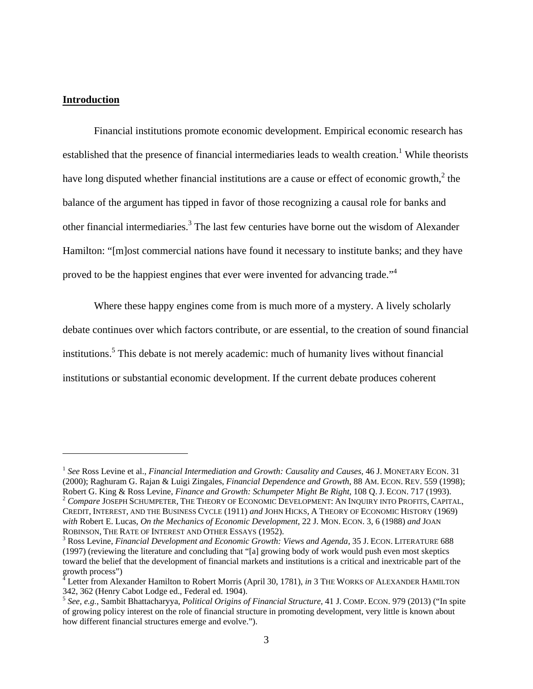#### **Introduction**

<u>.</u>

Financial institutions promote economic development. Empirical economic research has established that the presence of financial intermediaries leads to wealth creation.<sup>1</sup> While theorists have long disputed whether financial institutions are a cause or effect of economic growth, $2$  the balance of the argument has tipped in favor of those recognizing a causal role for banks and other financial intermediaries.<sup>3</sup> The last few centuries have borne out the wisdom of Alexander Hamilton: "[m]ost commercial nations have found it necessary to institute banks; and they have proved to be the happiest engines that ever were invented for advancing trade.<sup>"4</sup>

Where these happy engines come from is much more of a mystery. A lively scholarly debate continues over which factors contribute, or are essential, to the creation of sound financial institutions.<sup>5</sup> This debate is not merely academic: much of humanity lives without financial institutions or substantial economic development. If the current debate produces coherent

<sup>1</sup> *See* Ross Levine et al., *Financial Intermediation and Growth: Causality and Causes*, 46 J. MONETARY ECON. 31 (2000); Raghuram G. Rajan & Luigi Zingales, *Financial Dependence and Growth*, 88 AM. ECON. REV. 559 (1998); Robert G. King & Ross Levine, *Finance and Growth: Schumpeter Might Be Right*, 108 Q. J. ECON. 717 (1993).<br><sup>2</sup> *Compare* JOSEPH SCHUMPETER, THE THEORY OF ECONOMIC DEVELOPMENT: AN INQUIRY INTO PROFITS, CAPITAL, CREDIT, INTEREST, AND THE BUSINESS CYCLE (1911) *and* JOHN HICKS, A THEORY OF ECONOMIC HISTORY (1969) *with* Robert E. Lucas, *On the Mechanics of Economic Development*, 22 J. MON. ECON. 3, 6 (1988) *and* JOAN ROBINSON, THE RATE OF INTEREST AND OTHER ESSAYS (1952).

<sup>&</sup>lt;sup>3</sup> Ross Levine, *Financial Development and Economic Growth: Views and Agenda*, 35 J. ECON. LITERATURE 688 (1997) (reviewing the literature and concluding that "[a] growing body of work would push even most skeptics toward the belief that the development of financial markets and institutions is a critical and inextricable part of the growth process")

<sup>&</sup>lt;sup>4</sup> Letter from Alexander Hamilton to Robert Morris (April 30, 1781), *in* 3 THE WORKS OF ALEXANDER HAMILTON 342, 362 (Henry Cabot Lodge ed., Federal ed. 1904).

<sup>5</sup> *See, e.g.*, Sambit Bhattacharyya, *Political Origins of Financial Structure*, 41 J. COMP. ECON. 979 (2013) ("In spite of growing policy interest on the role of financial structure in promoting development, very little is known about how different financial structures emerge and evolve.").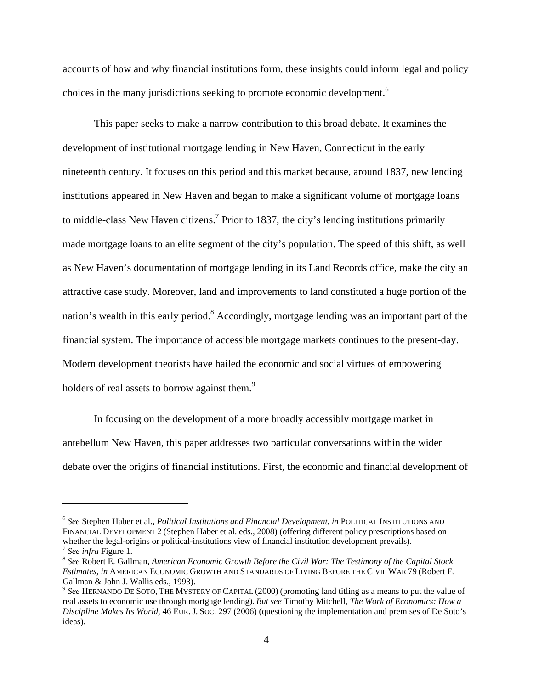accounts of how and why financial institutions form, these insights could inform legal and policy choices in the many jurisdictions seeking to promote economic development.<sup>6</sup>

This paper seeks to make a narrow contribution to this broad debate. It examines the development of institutional mortgage lending in New Haven, Connecticut in the early nineteenth century. It focuses on this period and this market because, around 1837, new lending institutions appeared in New Haven and began to make a significant volume of mortgage loans to middle-class New Haven citizens.<sup>7</sup> Prior to 1837, the city's lending institutions primarily made mortgage loans to an elite segment of the city's population. The speed of this shift, as well as New Haven's documentation of mortgage lending in its Land Records office, make the city an attractive case study. Moreover, land and improvements to land constituted a huge portion of the nation's wealth in this early period.<sup>8</sup> Accordingly, mortgage lending was an important part of the financial system. The importance of accessible mortgage markets continues to the present-day. Modern development theorists have hailed the economic and social virtues of empowering holders of real assets to borrow against them.<sup>9</sup>

In focusing on the development of a more broadly accessibly mortgage market in antebellum New Haven, this paper addresses two particular conversations within the wider debate over the origins of financial institutions. First, the economic and financial development of

<sup>6</sup> *See* Stephen Haber et al., *Political Institutions and Financial Development*, *in* POLITICAL INSTITUTIONS AND FINANCIAL DEVELOPMENT 2 (Stephen Haber et al. eds., 2008) (offering different policy prescriptions based on whether the legal-origins or political-institutions view of financial institution development prevails).

<sup>&</sup>lt;sup>7</sup> See infra Figure 1.<br><sup>8</sup> See Robert E. Gallman, *American Economic Growth Before the Civil War: The Testimony of the Capital Stock Estimates*, *in* AMERICAN ECONOMIC GROWTH AND STANDARDS OF LIVING BEFORE THE CIVIL WAR 79 (Robert E. Gallman & John J. Wallis eds., 1993).

<sup>9</sup> *See* HERNANDO DE SOTO, THE MYSTERY OF CAPITAL (2000) (promoting land titling as a means to put the value of real assets to economic use through mortgage lending). *But see* Timothy Mitchell, *The Work of Economics: How a Discipline Makes Its World*, 46 EUR. J. SOC. 297 (2006) (questioning the implementation and premises of De Soto's ideas).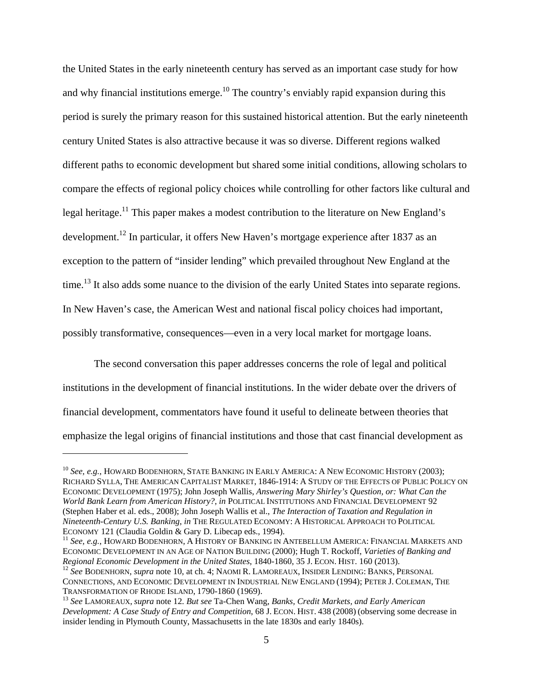the United States in the early nineteenth century has served as an important case study for how and why financial institutions emerge.<sup>10</sup> The country's enviably rapid expansion during this period is surely the primary reason for this sustained historical attention. But the early nineteenth century United States is also attractive because it was so diverse. Different regions walked different paths to economic development but shared some initial conditions, allowing scholars to compare the effects of regional policy choices while controlling for other factors like cultural and legal heritage.<sup>11</sup> This paper makes a modest contribution to the literature on New England's development.<sup>12</sup> In particular, it offers New Haven's mortgage experience after 1837 as an exception to the pattern of "insider lending" which prevailed throughout New England at the time.<sup>13</sup> It also adds some nuance to the division of the early United States into separate regions. In New Haven's case, the American West and national fiscal policy choices had important, possibly transformative, consequences—even in a very local market for mortgage loans.

The second conversation this paper addresses concerns the role of legal and political institutions in the development of financial institutions. In the wider debate over the drivers of financial development, commentators have found it useful to delineate between theories that emphasize the legal origins of financial institutions and those that cast financial development as

 $\overline{a}$ 

<sup>11</sup> See, e.g., HOWARD BODENHORN, A HISTORY OF BANKING IN ANTEBELLUM AMERICA: FINANCIAL MARKETS AND ECONOMIC DEVELOPMENT IN AN AGE OF NATION BUILDING (2000); Hugh T. Rockoff, *Varieties of Banking and* 

<sup>&</sup>lt;sup>10</sup> See, e.g., HOWARD BODENHORN, STATE BANKING IN EARLY AMERICA: A NEW ECONOMIC HISTORY (2003); RICHARD SYLLA, THE AMERICAN CAPITALIST MARKET, 1846-1914: A STUDY OF THE EFFECTS OF PUBLIC POLICY ON ECONOMIC DEVELOPMENT (1975); John Joseph Wallis, *Answering Mary Shirley's Question, or: What Can the World Bank Learn from American History?*, *in* POLITICAL INSTITUTIONS AND FINANCIAL DEVELOPMENT 92 (Stephen Haber et al. eds., 2008); John Joseph Wallis et al., *The Interaction of Taxation and Regulation in Nineteenth-Century U.S. Banking*, *in* THE REGULATED ECONOMY: A HISTORICAL APPROACH TO POLITICAL

<sup>&</sup>lt;sup>12</sup> See BODENHORN, *supra* note 10, at ch. 4; NAOMI R. LAMOREAUX, INSIDER LENDING: BANKS, PERSONAL CONNECTIONS, AND ECONOMIC DEVELOPMENT IN INDUSTRIAL NEW ENGLAND (1994); PETER J. COLEMAN, THE TRANSFORMATION OF RHODE ISLAND, 1790-1860 (1969).

<sup>&</sup>lt;sup>13</sup> See LAMOREAUX, *supra* note 12. *But see* Ta-Chen Wang, *Banks, Credit Markets, and Early American Development: A Case Study of Entry and Competition*, 68 J. ECON. HIST. 438 (2008) (observing some decrease in insider lending in Plymouth County, Massachusetts in the late 1830s and early 1840s).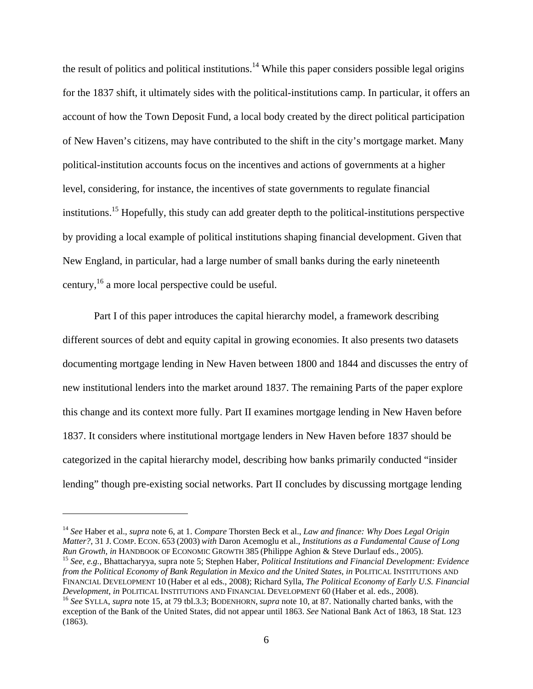the result of politics and political institutions.<sup>14</sup> While this paper considers possible legal origins for the 1837 shift, it ultimately sides with the political-institutions camp. In particular, it offers an account of how the Town Deposit Fund, a local body created by the direct political participation of New Haven's citizens, may have contributed to the shift in the city's mortgage market. Many political-institution accounts focus on the incentives and actions of governments at a higher level, considering, for instance, the incentives of state governments to regulate financial institutions.15 Hopefully, this study can add greater depth to the political-institutions perspective by providing a local example of political institutions shaping financial development. Given that New England, in particular, had a large number of small banks during the early nineteenth century,16 a more local perspective could be useful.

Part I of this paper introduces the capital hierarchy model, a framework describing different sources of debt and equity capital in growing economies. It also presents two datasets documenting mortgage lending in New Haven between 1800 and 1844 and discusses the entry of new institutional lenders into the market around 1837. The remaining Parts of the paper explore this change and its context more fully. Part II examines mortgage lending in New Haven before 1837. It considers where institutional mortgage lenders in New Haven before 1837 should be categorized in the capital hierarchy model, describing how banks primarily conducted "insider lending" though pre-existing social networks. Part II concludes by discussing mortgage lending

<sup>14</sup> *See* Haber et al., *supra* note 6, at 1. *Compare* Thorsten Beck et al., *Law and finance: Why Does Legal Origin Matter?*, 31 J. COMP. ECON. 653 (2003) *with* Daron Acemoglu et al., *Institutions as a Fundamental Cause of Long*  Run Growth, in HANDBOOK OF ECONOMIC GROWTH 385 (Philippe Aghion & Steve Durlauf eds., 2005).<br><sup>15</sup> See, e.g., Bhattacharyya, supra note 5; Stephen Haber, *Political Institutions and Financial Development: Evidence* 

*from the Political Economy of Bank Regulation in Mexico and the United States*, *in* POLITICAL INSTITUTIONS AND FINANCIAL DEVELOPMENT 10 (Haber et al eds., 2008); Richard Sylla, *The Political Economy of Early U.S. Financial Development*, *in POLITICAL INSTITUTIONS AND FINANCIAL DEVELOPMENT 60 (Haber et al. eds., 2008).* 

<sup>&</sup>lt;sup>16</sup> See SYLLA, supra note 15, at 79 tbl.3.3; BODENHORN, supra note 10, at 87. Nationally charted banks, with the exception of the Bank of the United States, did not appear until 1863. *See* National Bank Act of 1863, 18 Stat. 123 (1863).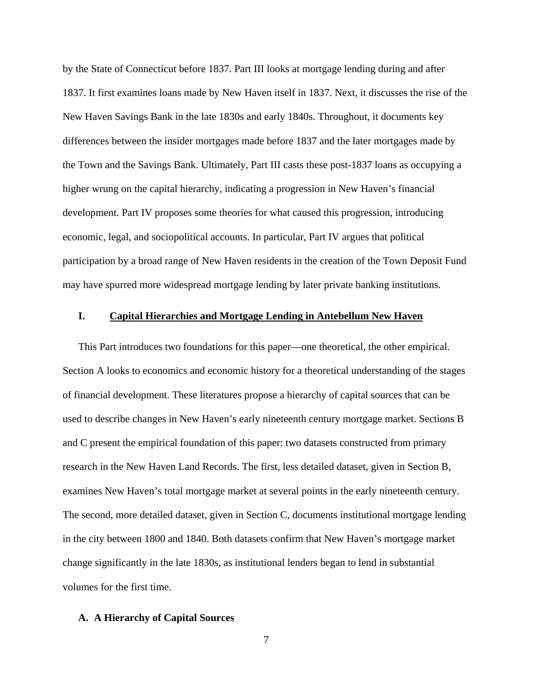by the State of Connecticut before 1837. Part III looks at mortgage lending during and after 1837. It first examines loans made by New Haven itself in 1837. Next, it discusses the rise of the New Haven Savings Bank in the late 1830s and early 1840s. Throughout, it documents key differences between the insider mortgages made before 1837 and the later mortgages made by the Town and the Savings Bank. Ultimately, Part III casts these post-1837 loans as occupying a higher wrung on the capital hierarchy, indicating a progression in New Haven's financial development. Part IV proposes some theories for what caused this progression, introducing economic, legal, and sociopolitical accounts. In particular, Part IV argues that political participation by a broad range of New Haven residents in the creation of the Town Deposit Fund may have spurred more widespread mortgage lending by later private banking institutions.

## **I. Capital Hierarchies and Mortgage Lending in Antebellum New Haven**

This Part introduces two foundations for this paper—one theoretical, the other empirical. Section A looks to economics and economic history for a theoretical understanding of the stages of financial development. These literatures propose a hierarchy of capital sources that can be used to describe changes in New Haven's early nineteenth century mortgage market. Sections B and C present the empirical foundation of this paper: two datasets constructed from primary research in the New Haven Land Records. The first, less detailed dataset, given in Section B, examines New Haven's total mortgage market at several points in the early nineteenth century. The second, more detailed dataset, given in Section C, documents institutional mortgage lending in the city between 1800 and 1840. Both datasets confirm that New Haven's mortgage market change significantly in the late 1830s, as institutional lenders began to lend in substantial volumes for the first time.

#### **A. A Hierarchy of Capital Sources**

7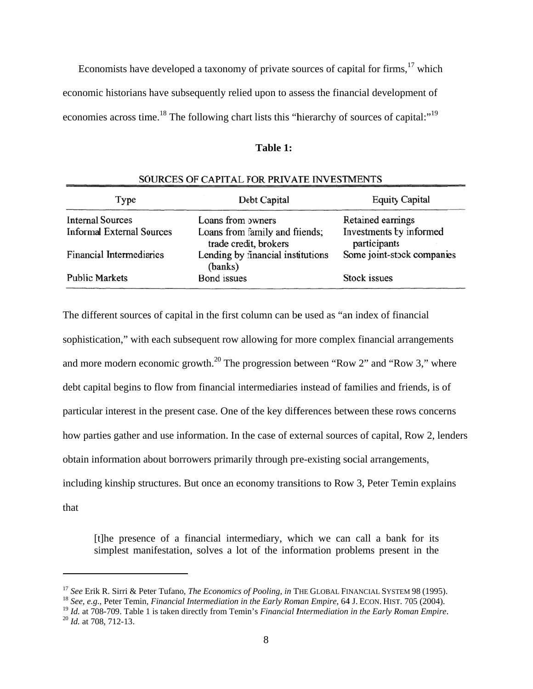Economists have developed a taxonomy of private sources of capital for firms,  $17$  which economic historians have subsequently relied upon to assess the financial development of economies across time.<sup>18</sup> The following chart lists this "hierarchy of sources of capital:"<sup>19</sup>

| 'able |  |
|-------|--|
|       |  |

| SOURCES OF CAPITAL FOR PRIVATE INVESTMENTS |                                                         |                                         |  |  |  |  |
|--------------------------------------------|---------------------------------------------------------|-----------------------------------------|--|--|--|--|
| Type                                       | Debt Capital                                            | <b>Equity Capital</b>                   |  |  |  |  |
| <b>Internal Sources</b>                    | Loans from owners                                       | Retained earnings                       |  |  |  |  |
| <b>Informal External Sources</b>           | Loans from family and friends;<br>trade credit, brokers | Investments by informed<br>participants |  |  |  |  |
| Financial Intermediaries                   | Lending by financial institutions<br>(banks)            | Some joint-stock companies              |  |  |  |  |
| <b>Public Markets</b>                      | <b>Bond</b> issues                                      | Stock issues                            |  |  |  |  |

The different sources of capital in the first column can be used as "an index of financial sophistication," with each subsequent row allowing for more complex financial arrangements and more modern economic growth.<sup>20</sup> The progression between "Row 2" and "Row 3," where debt capital begins to flow from financial intermediaries instead of families and friends, is of debt capital begins to flow from financial intermediaries instead of families and friends, is of<br>particular interest in the present case. One of the key differences between these rows concerns how parties gather and use information. In the case of external sources of capital, Row 2, lenders obtain information about borrowers primarily through pre-existing social arrangements, including kinship structures. But once an economy transitions to Row 3, Peter Temin explains that

[t]he presence of a financial intermediary, which we can call a bank for its simplest manifestation, solves a lot of the information problems present in the

 $\overline{a}$ 

 $\overline{a}$ 

<sup>&</sup>lt;sup>17</sup> See Erik R. Sirri & Peter Tufano, *The Economics of Pooling*, *in* THE GLOBAL FINANCIAL SYSTEM 98 (1995)<br><sup>18</sup> See, e.g., Peter Temin, *Financial Intermediation in the Early Roman Empire*, 64 J. ECON. HIST. 705 (2004). k R. Sirri & Peter Tufano, *The Economics of Pooling*, *in* THE GLOBAL FINANCIAL SYSTEM 98 (1995).

<sup>&</sup>lt;sup>19</sup> *Id.* at 708-709. Table 1 is taken directly from Temin's *Financial Intermediation in the Early Roman Empire.*<br><sup>20</sup> *Id.* at 708, 712-13.  $^{20}$  *Id.* at 708, 712-13.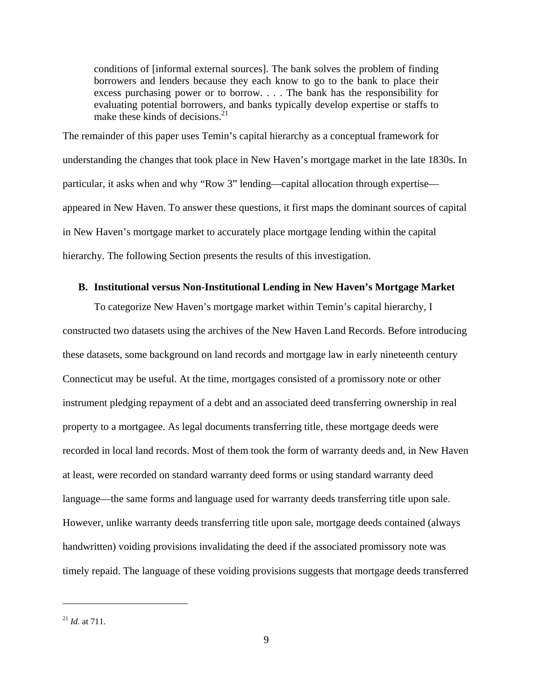conditions of [informal external sources]. The bank solves the problem of finding borrowers and lenders because they each know to go to the bank to place their excess purchasing power or to borrow. . . . The bank has the responsibility for evaluating potential borrowers, and banks typically develop expertise or staffs to make these kinds of decisions. $^{21}$ 

The remainder of this paper uses Temin's capital hierarchy as a conceptual framework for understanding the changes that took place in New Haven's mortgage market in the late 1830s. In particular, it asks when and why "Row 3" lending—capital allocation through expertise appeared in New Haven. To answer these questions, it first maps the dominant sources of capital in New Haven's mortgage market to accurately place mortgage lending within the capital hierarchy. The following Section presents the results of this investigation.

## **B. Institutional versus Non-Institutional Lending in New Haven's Mortgage Market**

To categorize New Haven's mortgage market within Temin's capital hierarchy, I constructed two datasets using the archives of the New Haven Land Records. Before introducing these datasets, some background on land records and mortgage law in early nineteenth century Connecticut may be useful. At the time, mortgages consisted of a promissory note or other instrument pledging repayment of a debt and an associated deed transferring ownership in real property to a mortgagee. As legal documents transferring title, these mortgage deeds were recorded in local land records. Most of them took the form of warranty deeds and, in New Haven at least, were recorded on standard warranty deed forms or using standard warranty deed language—the same forms and language used for warranty deeds transferring title upon sale. However, unlike warranty deeds transferring title upon sale, mortgage deeds contained (always handwritten) voiding provisions invalidating the deed if the associated promissory note was timely repaid. The language of these voiding provisions suggests that mortgage deeds transferred

<u>.</u>

<sup>21</sup> *Id.* at 711.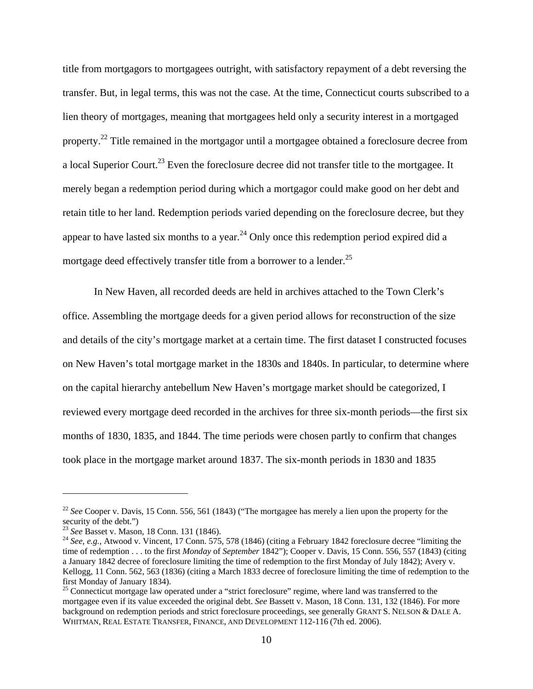title from mortgagors to mortgagees outright, with satisfactory repayment of a debt reversing the transfer. But, in legal terms, this was not the case. At the time, Connecticut courts subscribed to a lien theory of mortgages, meaning that mortgagees held only a security interest in a mortgaged property.22 Title remained in the mortgagor until a mortgagee obtained a foreclosure decree from a local Superior Court.<sup>23</sup> Even the foreclosure decree did not transfer title to the mortgagee. It merely began a redemption period during which a mortgagor could make good on her debt and retain title to her land. Redemption periods varied depending on the foreclosure decree, but they appear to have lasted six months to a year.<sup>24</sup> Only once this redemption period expired did a mortgage deed effectively transfer title from a borrower to a lender.<sup>25</sup>

In New Haven, all recorded deeds are held in archives attached to the Town Clerk's office. Assembling the mortgage deeds for a given period allows for reconstruction of the size and details of the city's mortgage market at a certain time. The first dataset I constructed focuses on New Haven's total mortgage market in the 1830s and 1840s. In particular, to determine where on the capital hierarchy antebellum New Haven's mortgage market should be categorized, I reviewed every mortgage deed recorded in the archives for three six-month periods—the first six months of 1830, 1835, and 1844. The time periods were chosen partly to confirm that changes took place in the mortgage market around 1837. The six-month periods in 1830 and 1835

1

<sup>&</sup>lt;sup>22</sup> See Cooper v. Davis, 15 Conn. 556, 561 (1843) ("The mortgagee has merely a lien upon the property for the security of the debt.")<br> $^{23}$  See Basset v. Mason, 18 Conn. 131 (1846).

<sup>&</sup>lt;sup>24</sup> See, e.g., Atwood v. Vincent, 17 Conn. 575, 578 (1846) (citing a February 1842 foreclosure decree "limiting the time of redemption . . . to the first *Monday* of *September* 1842"); Cooper v. Davis, 15 Conn. 556, 557 (1843) (citing a January 1842 decree of foreclosure limiting the time of redemption to the first Monday of July 1842); Avery v. Kellogg, 11 Conn. 562, 563 (1836) (citing a March 1833 decree of foreclosure limiting the time of redemption to the first Monday of January 1834).

<sup>&</sup>lt;sup>25</sup> Connecticut mortgage law operated under a "strict foreclosure" regime, where land was transferred to the mortgagee even if its value exceeded the original debt. *See* Bassett v. Mason, 18 Conn. 131, 132 (1846). For more background on redemption periods and strict foreclosure proceedings, see generally GRANT S. NELSON & DALE A. WHITMAN, REAL ESTATE TRANSFER, FINANCE, AND DEVELOPMENT 112-116 (7th ed. 2006).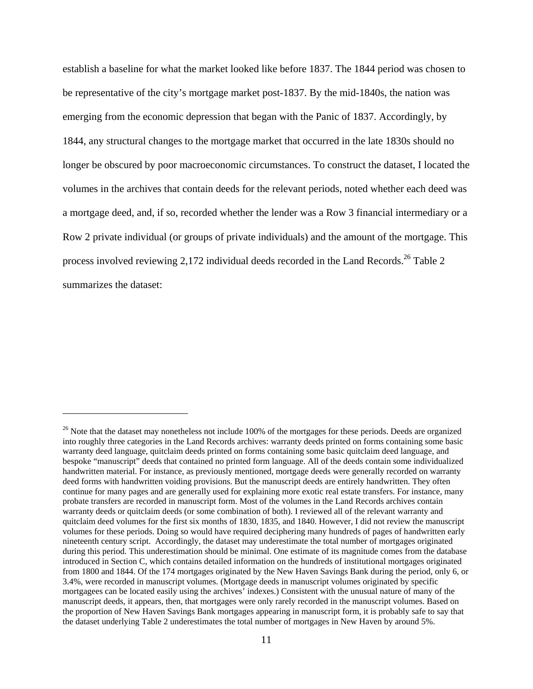establish a baseline for what the market looked like before 1837. The 1844 period was chosen to be representative of the city's mortgage market post-1837. By the mid-1840s, the nation was emerging from the economic depression that began with the Panic of 1837. Accordingly, by 1844, any structural changes to the mortgage market that occurred in the late 1830s should no longer be obscured by poor macroeconomic circumstances. To construct the dataset, I located the volumes in the archives that contain deeds for the relevant periods, noted whether each deed was a mortgage deed, and, if so, recorded whether the lender was a Row 3 financial intermediary or a Row 2 private individual (or groups of private individuals) and the amount of the mortgage. This process involved reviewing 2,172 individual deeds recorded in the Land Records.<sup>26</sup> Table 2 summarizes the dataset:

1

 $26$  Note that the dataset may nonetheless not include 100% of the mortgages for these periods. Deeds are organized into roughly three categories in the Land Records archives: warranty deeds printed on forms containing some basic warranty deed language, quitclaim deeds printed on forms containing some basic quitclaim deed language, and bespoke "manuscript" deeds that contained no printed form language. All of the deeds contain some individualized handwritten material. For instance, as previously mentioned, mortgage deeds were generally recorded on warranty deed forms with handwritten voiding provisions. But the manuscript deeds are entirely handwritten. They often continue for many pages and are generally used for explaining more exotic real estate transfers. For instance, many probate transfers are recorded in manuscript form. Most of the volumes in the Land Records archives contain warranty deeds or quitclaim deeds (or some combination of both). I reviewed all of the relevant warranty and quitclaim deed volumes for the first six months of 1830, 1835, and 1840. However, I did not review the manuscript volumes for these periods. Doing so would have required deciphering many hundreds of pages of handwritten early nineteenth century script. Accordingly, the dataset may underestimate the total number of mortgages originated during this period. This underestimation should be minimal. One estimate of its magnitude comes from the database introduced in Section C, which contains detailed information on the hundreds of institutional mortgages originated from 1800 and 1844. Of the 174 mortgages originated by the New Haven Savings Bank during the period, only 6, or 3.4%, were recorded in manuscript volumes. (Mortgage deeds in manuscript volumes originated by specific mortgagees can be located easily using the archives' indexes.) Consistent with the unusual nature of many of the manuscript deeds, it appears, then, that mortgages were only rarely recorded in the manuscript volumes. Based on the proportion of New Haven Savings Bank mortgages appearing in manuscript form, it is probably safe to say that the dataset underlying Table 2 underestimates the total number of mortgages in New Haven by around 5%.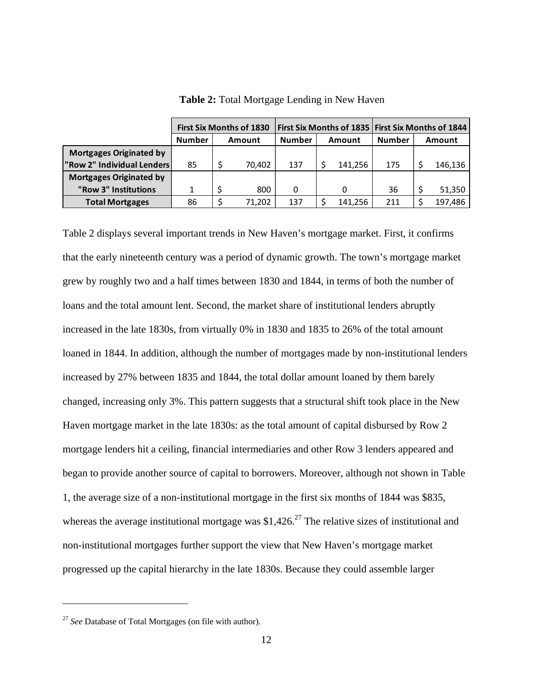|                                | <b>First Six Months of 1830</b> |        | <b>First Six Months of 1835 First Six Months of 1844</b> |               |        |         |               |               |         |
|--------------------------------|---------------------------------|--------|----------------------------------------------------------|---------------|--------|---------|---------------|---------------|---------|
|                                | <b>Number</b>                   | Amount |                                                          | <b>Number</b> | Amount |         | <b>Number</b> | <b>Amount</b> |         |
| <b>Mortgages Originated by</b> |                                 |        |                                                          |               |        |         |               |               |         |
| "Row 2" Individual Lenders     | 85                              |        | 70.402                                                   | 137           |        | 141.256 | 175           |               | 146,136 |
| <b>Mortgages Originated by</b> |                                 |        |                                                          |               |        |         |               |               |         |
| "Row 3" Institutions           |                                 |        | 800                                                      | 0             |        |         | 36            |               | 51,350  |
| <b>Total Mortgages</b>         | 86                              |        | 71,202                                                   | 137           |        | 141,256 | 211           |               | 197,486 |

**Table 2:** Total Mortgage Lending in New Haven

Table 2 displays several important trends in New Haven's mortgage market. First, it confirms that the early nineteenth century was a period of dynamic growth. The town's mortgage market grew by roughly two and a half times between 1830 and 1844, in terms of both the number of loans and the total amount lent. Second, the market share of institutional lenders abruptly increased in the late 1830s, from virtually 0% in 1830 and 1835 to 26% of the total amount loaned in 1844. In addition, although the number of mortgages made by non-institutional lenders increased by 27% between 1835 and 1844, the total dollar amount loaned by them barely changed, increasing only 3%. This pattern suggests that a structural shift took place in the New Haven mortgage market in the late 1830s: as the total amount of capital disbursed by Row 2 mortgage lenders hit a ceiling, financial intermediaries and other Row 3 lenders appeared and began to provide another source of capital to borrowers. Moreover, although not shown in Table 1, the average size of a non-institutional mortgage in the first six months of 1844 was \$835, whereas the average institutional mortgage was  $$1,426.<sup>27</sup>$  The relative sizes of institutional and non-institutional mortgages further support the view that New Haven's mortgage market progressed up the capital hierarchy in the late 1830s. Because they could assemble larger

<sup>27</sup> *See* Database of Total Mortgages (on file with author).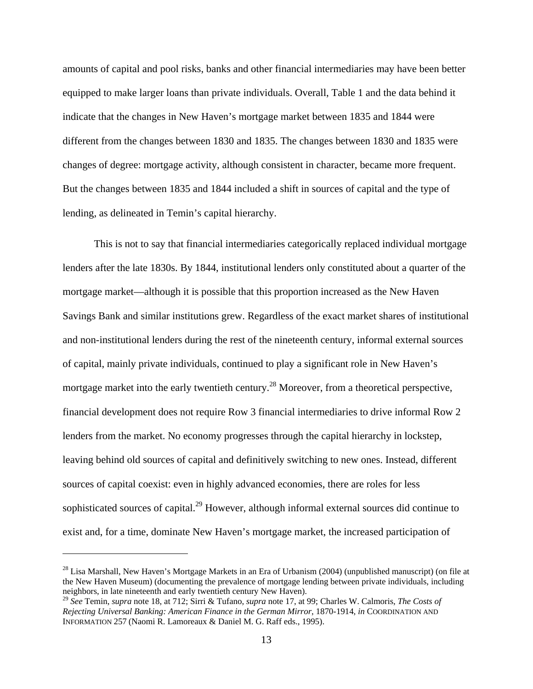amounts of capital and pool risks, banks and other financial intermediaries may have been better equipped to make larger loans than private individuals. Overall, Table 1 and the data behind it indicate that the changes in New Haven's mortgage market between 1835 and 1844 were different from the changes between 1830 and 1835. The changes between 1830 and 1835 were changes of degree: mortgage activity, although consistent in character, became more frequent. But the changes between 1835 and 1844 included a shift in sources of capital and the type of lending, as delineated in Temin's capital hierarchy.

This is not to say that financial intermediaries categorically replaced individual mortgage lenders after the late 1830s. By 1844, institutional lenders only constituted about a quarter of the mortgage market—although it is possible that this proportion increased as the New Haven Savings Bank and similar institutions grew. Regardless of the exact market shares of institutional and non-institutional lenders during the rest of the nineteenth century, informal external sources of capital, mainly private individuals, continued to play a significant role in New Haven's mortgage market into the early twentieth century.<sup>28</sup> Moreover, from a theoretical perspective, financial development does not require Row 3 financial intermediaries to drive informal Row 2 lenders from the market. No economy progresses through the capital hierarchy in lockstep, leaving behind old sources of capital and definitively switching to new ones. Instead, different sources of capital coexist: even in highly advanced economies, there are roles for less sophisticated sources of capital.<sup>29</sup> However, although informal external sources did continue to exist and, for a time, dominate New Haven's mortgage market, the increased participation of

<sup>&</sup>lt;sup>28</sup> Lisa Marshall, New Haven's Mortgage Markets in an Era of Urbanism (2004) (unpublished manuscript) (on file at the New Haven Museum) (documenting the prevalence of mortgage lending between private individuals, including neighbors, in late nineteenth and early twentieth century New Haven).

<sup>29</sup> *See* Temin, *supra* note 18, at 712; Sirri & Tufano, *supra* note 17, at 99; Charles W. Calmoris, *The Costs of Rejecting Universal Banking: American Finance in the German Mirror*, 1870-1914, *in* COORDINATION AND INFORMATION 257 (Naomi R. Lamoreaux & Daniel M. G. Raff eds., 1995).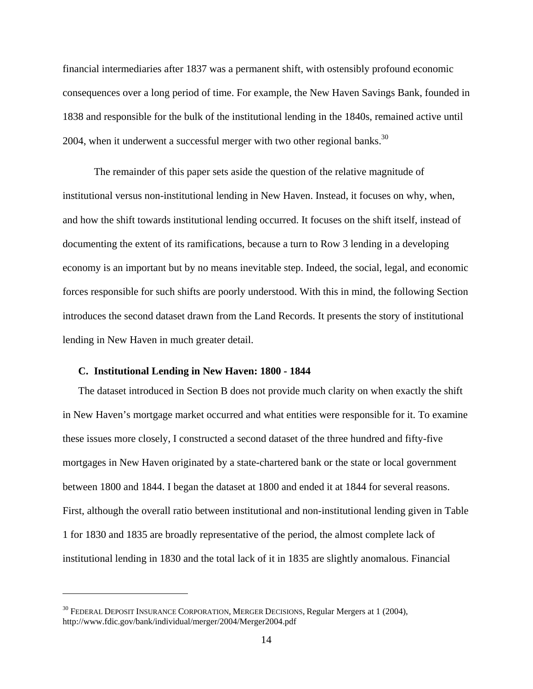financial intermediaries after 1837 was a permanent shift, with ostensibly profound economic consequences over a long period of time. For example, the New Haven Savings Bank, founded in 1838 and responsible for the bulk of the institutional lending in the 1840s, remained active until 2004, when it underwent a successful merger with two other regional banks.<sup>30</sup>

The remainder of this paper sets aside the question of the relative magnitude of institutional versus non-institutional lending in New Haven. Instead, it focuses on why, when, and how the shift towards institutional lending occurred. It focuses on the shift itself, instead of documenting the extent of its ramifications, because a turn to Row 3 lending in a developing economy is an important but by no means inevitable step. Indeed, the social, legal, and economic forces responsible for such shifts are poorly understood. With this in mind, the following Section introduces the second dataset drawn from the Land Records. It presents the story of institutional lending in New Haven in much greater detail.

#### **C. Institutional Lending in New Haven: 1800 - 1844**

 $\overline{a}$ 

The dataset introduced in Section B does not provide much clarity on when exactly the shift in New Haven's mortgage market occurred and what entities were responsible for it. To examine these issues more closely, I constructed a second dataset of the three hundred and fifty-five mortgages in New Haven originated by a state-chartered bank or the state or local government between 1800 and 1844. I began the dataset at 1800 and ended it at 1844 for several reasons. First, although the overall ratio between institutional and non-institutional lending given in Table 1 for 1830 and 1835 are broadly representative of the period, the almost complete lack of institutional lending in 1830 and the total lack of it in 1835 are slightly anomalous. Financial

 $^{30}$  FEDERAL DEPOSIT INSURANCE CORPORATION, MERGER DECISIONS, Regular Mergers at 1 (2004), http://www.fdic.gov/bank/individual/merger/2004/Merger2004.pdf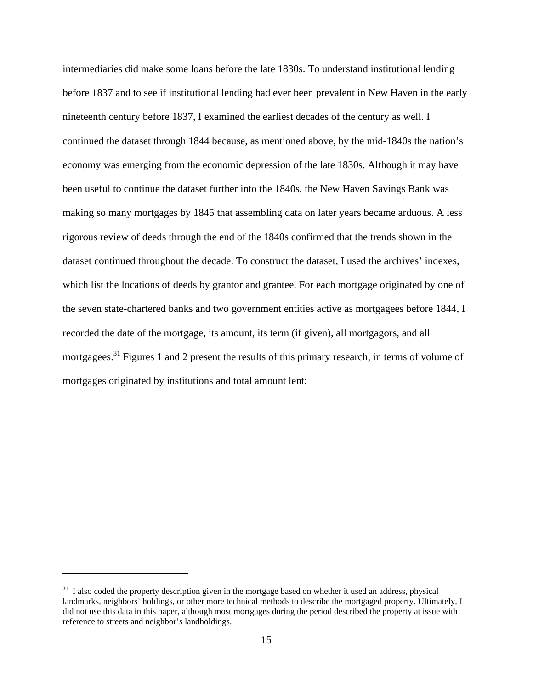intermediaries did make some loans before the late 1830s. To understand institutional lending before 1837 and to see if institutional lending had ever been prevalent in New Haven in the early nineteenth century before 1837, I examined the earliest decades of the century as well. I continued the dataset through 1844 because, as mentioned above, by the mid-1840s the nation's economy was emerging from the economic depression of the late 1830s. Although it may have been useful to continue the dataset further into the 1840s, the New Haven Savings Bank was making so many mortgages by 1845 that assembling data on later years became arduous. A less rigorous review of deeds through the end of the 1840s confirmed that the trends shown in the dataset continued throughout the decade. To construct the dataset, I used the archives' indexes, which list the locations of deeds by grantor and grantee. For each mortgage originated by one of the seven state-chartered banks and two government entities active as mortgagees before 1844, I recorded the date of the mortgage, its amount, its term (if given), all mortgagors, and all mortgagees.<sup>31</sup> Figures 1 and 2 present the results of this primary research, in terms of volume of mortgages originated by institutions and total amount lent:

<u>.</u>

 $31$  I also coded the property description given in the mortgage based on whether it used an address, physical landmarks, neighbors' holdings, or other more technical methods to describe the mortgaged property. Ultimately, I did not use this data in this paper, although most mortgages during the period described the property at issue with reference to streets and neighbor's landholdings.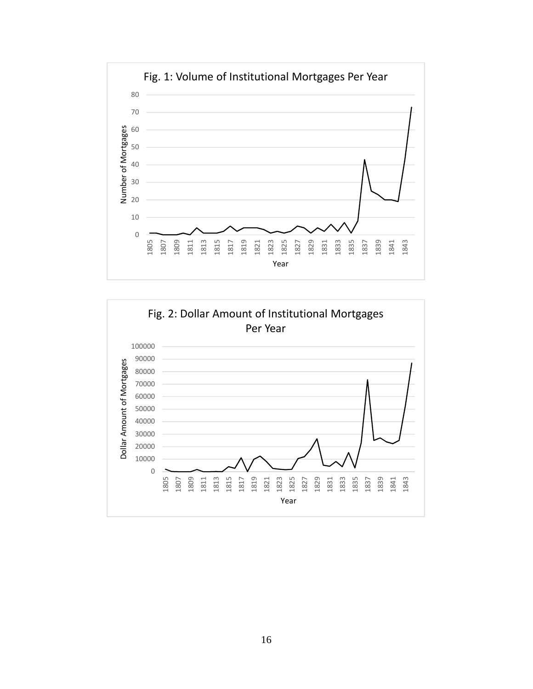

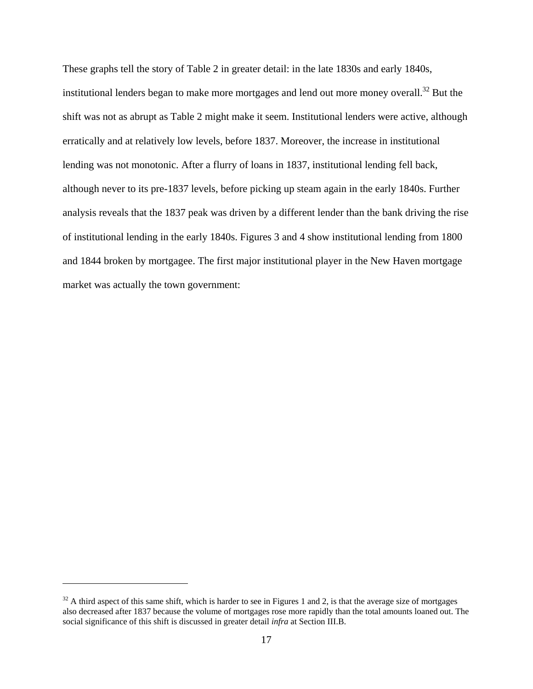These graphs tell the story of Table 2 in greater detail: in the late 1830s and early 1840s, institutional lenders began to make more mortgages and lend out more money overall.<sup>32</sup> But the shift was not as abrupt as Table 2 might make it seem. Institutional lenders were active, although erratically and at relatively low levels, before 1837. Moreover, the increase in institutional lending was not monotonic. After a flurry of loans in 1837, institutional lending fell back, although never to its pre-1837 levels, before picking up steam again in the early 1840s. Further analysis reveals that the 1837 peak was driven by a different lender than the bank driving the rise of institutional lending in the early 1840s. Figures 3 and 4 show institutional lending from 1800 and 1844 broken by mortgagee. The first major institutional player in the New Haven mortgage market was actually the town government:

1

 $32$  A third aspect of this same shift, which is harder to see in Figures 1 and 2, is that the average size of mortgages also decreased after 1837 because the volume of mortgages rose more rapidly than the total amounts loaned out. The social significance of this shift is discussed in greater detail *infra* at Section III.B.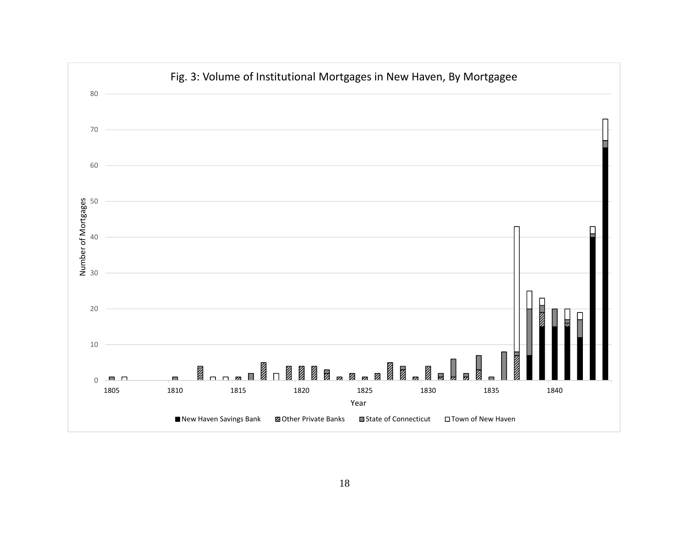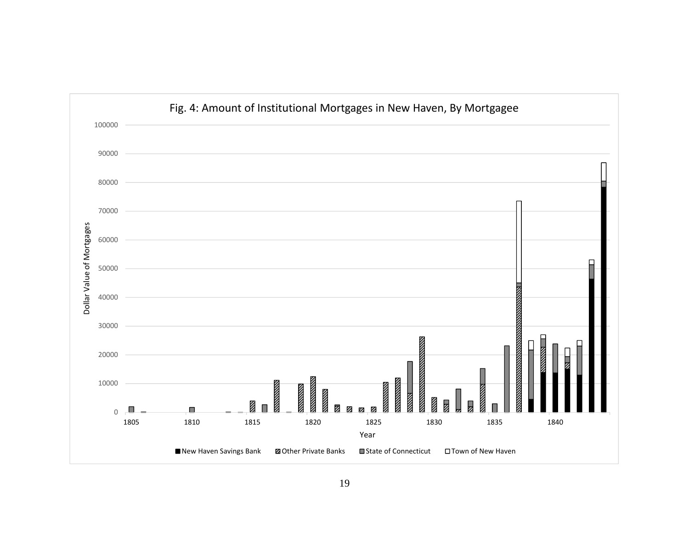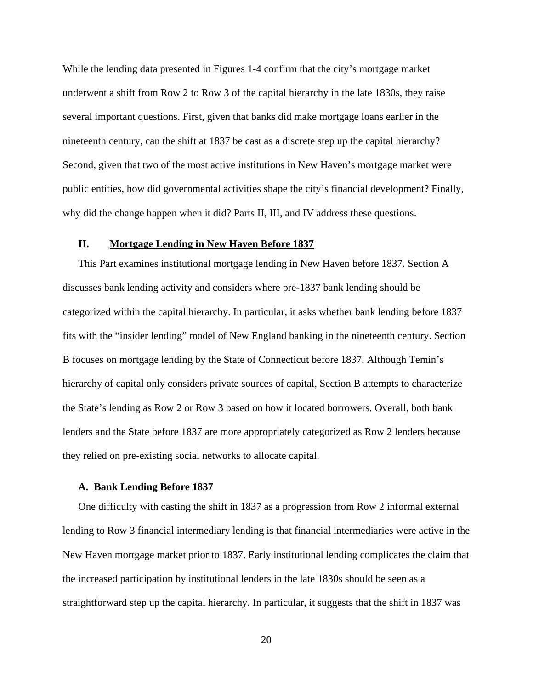While the lending data presented in Figures 1-4 confirm that the city's mortgage market underwent a shift from Row 2 to Row 3 of the capital hierarchy in the late 1830s, they raise several important questions. First, given that banks did make mortgage loans earlier in the nineteenth century, can the shift at 1837 be cast as a discrete step up the capital hierarchy? Second, given that two of the most active institutions in New Haven's mortgage market were public entities, how did governmental activities shape the city's financial development? Finally, why did the change happen when it did? Parts II, III, and IV address these questions.

## **II. Mortgage Lending in New Haven Before 1837**

This Part examines institutional mortgage lending in New Haven before 1837. Section A discusses bank lending activity and considers where pre-1837 bank lending should be categorized within the capital hierarchy. In particular, it asks whether bank lending before 1837 fits with the "insider lending" model of New England banking in the nineteenth century. Section B focuses on mortgage lending by the State of Connecticut before 1837. Although Temin's hierarchy of capital only considers private sources of capital, Section B attempts to characterize the State's lending as Row 2 or Row 3 based on how it located borrowers. Overall, both bank lenders and the State before 1837 are more appropriately categorized as Row 2 lenders because they relied on pre-existing social networks to allocate capital.

#### **A. Bank Lending Before 1837**

One difficulty with casting the shift in 1837 as a progression from Row 2 informal external lending to Row 3 financial intermediary lending is that financial intermediaries were active in the New Haven mortgage market prior to 1837. Early institutional lending complicates the claim that the increased participation by institutional lenders in the late 1830s should be seen as a straightforward step up the capital hierarchy. In particular, it suggests that the shift in 1837 was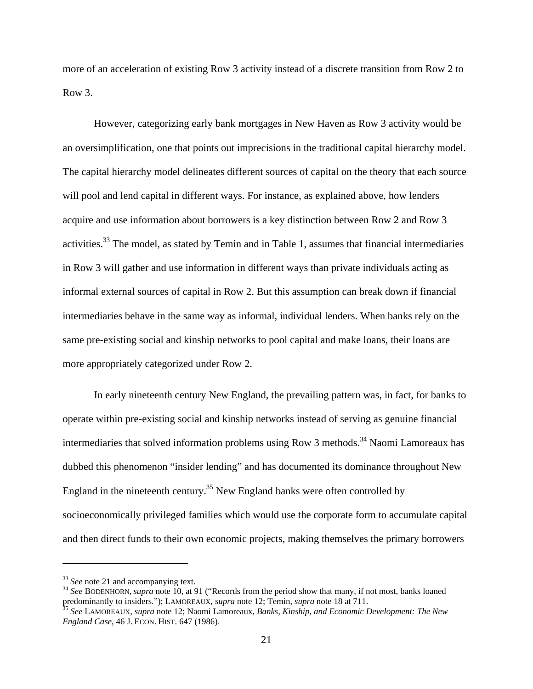more of an acceleration of existing Row 3 activity instead of a discrete transition from Row 2 to Row 3.

However, categorizing early bank mortgages in New Haven as Row 3 activity would be an oversimplification, one that points out imprecisions in the traditional capital hierarchy model. The capital hierarchy model delineates different sources of capital on the theory that each source will pool and lend capital in different ways. For instance, as explained above, how lenders acquire and use information about borrowers is a key distinction between Row 2 and Row 3 activities.<sup>33</sup> The model, as stated by Temin and in Table 1, assumes that financial intermediaries in Row 3 will gather and use information in different ways than private individuals acting as informal external sources of capital in Row 2. But this assumption can break down if financial intermediaries behave in the same way as informal, individual lenders. When banks rely on the same pre-existing social and kinship networks to pool capital and make loans, their loans are more appropriately categorized under Row 2.

In early nineteenth century New England, the prevailing pattern was, in fact, for banks to operate within pre-existing social and kinship networks instead of serving as genuine financial intermediaries that solved information problems using Row 3 methods.<sup>34</sup> Naomi Lamoreaux has dubbed this phenomenon "insider lending" and has documented its dominance throughout New England in the nineteenth century.<sup>35</sup> New England banks were often controlled by socioeconomically privileged families which would use the corporate form to accumulate capital and then direct funds to their own economic projects, making themselves the primary borrowers

1

<sup>&</sup>lt;sup>33</sup> *See* note 21 and accompanying text.<br><sup>34</sup> *See* BODENHORN, *supra* note 10, at 91 ("Records from the period show that many, if not most, banks loaned predominantly to insiders."); LAMOREAUX, *supra* note 12; Temin, *supra* note 18 at 711. 35 *See* LAMOREAUX, *supra* note 12; Naomi Lamoreaux, *Banks, Kinship, and Economic Development: The New* 

*England Case*, 46 J. ECON. HIST. 647 (1986).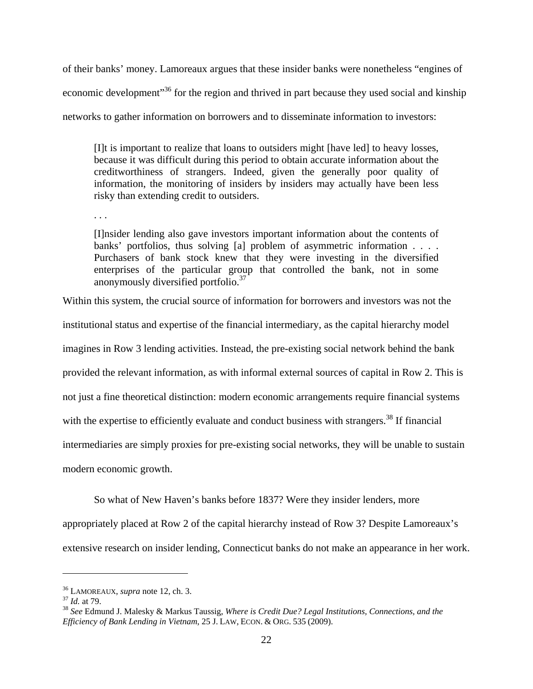of their banks' money. Lamoreaux argues that these insider banks were nonetheless "engines of economic development<sup>35</sup> for the region and thrived in part because they used social and kinship networks to gather information on borrowers and to disseminate information to investors:

[I]t is important to realize that loans to outsiders might [have led] to heavy losses, because it was difficult during this period to obtain accurate information about the creditworthiness of strangers. Indeed, given the generally poor quality of information, the monitoring of insiders by insiders may actually have been less risky than extending credit to outsiders.

. . .

[I]nsider lending also gave investors important information about the contents of banks' portfolios, thus solving [a] problem of asymmetric information . . . . Purchasers of bank stock knew that they were investing in the diversified enterprises of the particular group that controlled the bank, not in some anonymously diversified portfolio.<sup>37</sup>

Within this system, the crucial source of information for borrowers and investors was not the

institutional status and expertise of the financial intermediary, as the capital hierarchy model

imagines in Row 3 lending activities. Instead, the pre-existing social network behind the bank

provided the relevant information, as with informal external sources of capital in Row 2. This is

not just a fine theoretical distinction: modern economic arrangements require financial systems

with the expertise to efficiently evaluate and conduct business with strangers.<sup>38</sup> If financial

intermediaries are simply proxies for pre-existing social networks, they will be unable to sustain

modern economic growth.

So what of New Haven's banks before 1837? Were they insider lenders, more

appropriately placed at Row 2 of the capital hierarchy instead of Row 3? Despite Lamoreaux's extensive research on insider lending, Connecticut banks do not make an appearance in her work.

<sup>&</sup>lt;sup>36</sup> LAMOREAUX, *supra* note 12, ch. 3.<br><sup>37</sup> *Id.* at 79.<br><sup>38</sup> *See* Edmund J. Malesky & Markus Taussig, *Where is Credit Due? Legal Institutions, Connections, and the Efficiency of Bank Lending in Vietnam*, 25 J. LAW, ECON. & ORG. 535 (2009).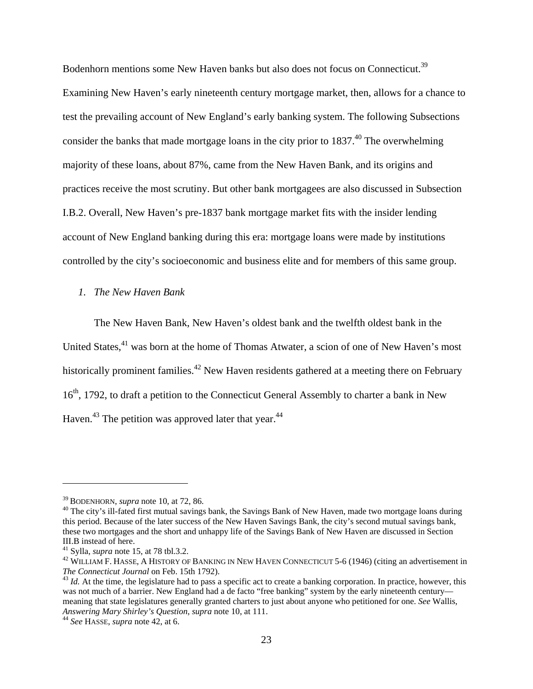Bodenhorn mentions some New Haven banks but also does not focus on Connecticut.<sup>39</sup> Examining New Haven's early nineteenth century mortgage market, then, allows for a chance to test the prevailing account of New England's early banking system. The following Subsections consider the banks that made mortgage loans in the city prior to  $1837<sup>40</sup>$ . The overwhelming majority of these loans, about 87%, came from the New Haven Bank, and its origins and practices receive the most scrutiny. But other bank mortgagees are also discussed in Subsection I.B.2. Overall, New Haven's pre-1837 bank mortgage market fits with the insider lending account of New England banking during this era: mortgage loans were made by institutions controlled by the city's socioeconomic and business elite and for members of this same group.

#### *1. The New Haven Bank*

The New Haven Bank, New Haven's oldest bank and the twelfth oldest bank in the United States,<sup>41</sup> was born at the home of Thomas Atwater, a scion of one of New Haven's most historically prominent families.<sup>42</sup> New Haven residents gathered at a meeting there on February 16<sup>th</sup>, 1792, to draft a petition to the Connecticut General Assembly to charter a bank in New Haven.<sup>43</sup> The petition was approved later that year.<sup>44</sup>

<sup>&</sup>lt;sup>39</sup> BODENHORN, *supra* note 10, at 72, 86.<br><sup>40</sup> The city's ill-fated first mutual savings bank, the Savings Bank of New Haven, made two mortgage loans during this period. Because of the later success of the New Haven Savings Bank, the city's second mutual savings bank, these two mortgages and the short and unhappy life of the Savings Bank of New Haven are discussed in Section III.B instead of here.<br><sup>41</sup> Sylla, *supra* note 15, at 78 tbl.3.2.

<sup>&</sup>lt;sup>42</sup> WILLIAM F. HASSE, A HISTORY OF BANKING IN NEW HAVEN CONNECTICUT 5-6 (1946) (citing an advertisement in *The Connecticut Journal* on Feb. 15th 1792).

<sup>&</sup>lt;sup>43</sup> *Id.* At the time, the legislature had to pass a specific act to create a banking corporation. In practice, however, this was not much of a barrier. New England had a de facto "free banking" system by the early nineteenth century meaning that state legislatures generally granted charters to just about anyone who petitioned for one. *See* Wallis, *Answering Mary Shirley's Question*, *supra* note 10, at 111. 44 *See* HASSE, *supra* note 42, at 6.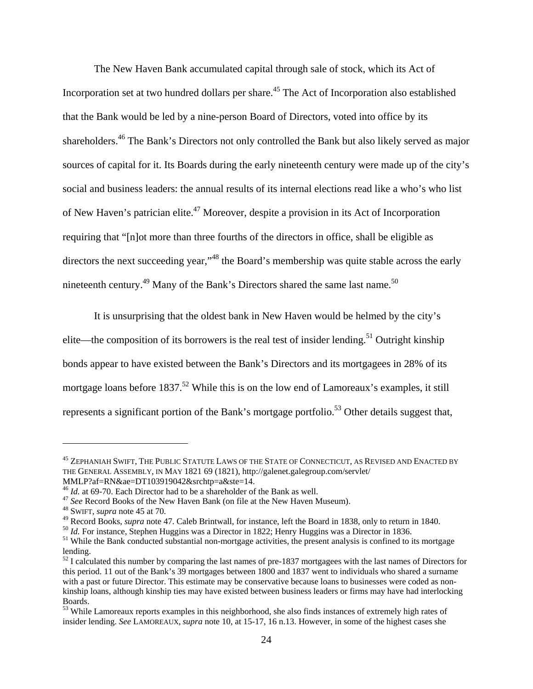The New Haven Bank accumulated capital through sale of stock, which its Act of Incorporation set at two hundred dollars per share.45 The Act of Incorporation also established that the Bank would be led by a nine-person Board of Directors, voted into office by its shareholders.46 The Bank's Directors not only controlled the Bank but also likely served as major sources of capital for it. Its Boards during the early nineteenth century were made up of the city's social and business leaders: the annual results of its internal elections read like a who's who list of New Haven's patrician elite.47 Moreover, despite a provision in its Act of Incorporation requiring that "[n]ot more than three fourths of the directors in office, shall be eligible as directors the next succeeding year,"<sup>48</sup> the Board's membership was quite stable across the early nineteenth century.<sup>49</sup> Many of the Bank's Directors shared the same last name.<sup>50</sup>

It is unsurprising that the oldest bank in New Haven would be helmed by the city's elite—the composition of its borrowers is the real test of insider lending.<sup>51</sup> Outright kinship bonds appear to have existed between the Bank's Directors and its mortgagees in 28% of its mortgage loans before  $1837$ <sup>52</sup> While this is on the low end of Lamoreaux's examples, it still represents a significant portion of the Bank's mortgage portfolio.<sup>53</sup> Other details suggest that,

 $^{45}$  Zephaniah Swift, The Public Statute Laws of the State of Connecticut, as Revised and Enacted by THE GENERAL ASSEMBLY, IN MAY 1821 69 (1821), http://galenet.galegroup.com/servlet/

MMLP?af=RN&ae=DT103919042&srchtp=a&ste=14.<br><sup>46</sup> *Id.* at 69-70. Each Director had to be a shareholder of the Bank as well.

<sup>&</sup>lt;sup>47</sup> *See* Record Books of the New Haven Bank (on file at the New Haven Museum). <sup>48</sup> SWIFT, *supra* note 45 at 70.

<sup>&</sup>lt;sup>49</sup> Record Books, *supra* note 47. Caleb Brintwall, for instance, left the Board in 1838, only to return in 1840.<br><sup>50</sup> *Id*. For instance, Stephen Huggins was a Director in 1822; Henry Huggins was a Director in 1836.<br><sup>51</sup>

lending.

 $52$  I calculated this number by comparing the last names of pre-1837 mortgagees with the last names of Directors for this period. 11 out of the Bank's 39 mortgages between 1800 and 1837 went to individuals who shared a surname with a past or future Director. This estimate may be conservative because loans to businesses were coded as nonkinship loans, although kinship ties may have existed between business leaders or firms may have had interlocking Boards.

<sup>53</sup> While Lamoreaux reports examples in this neighborhood, she also finds instances of extremely high rates of insider lending. *See* LAMOREAUX, *supra* note 10, at 15-17, 16 n.13. However, in some of the highest cases she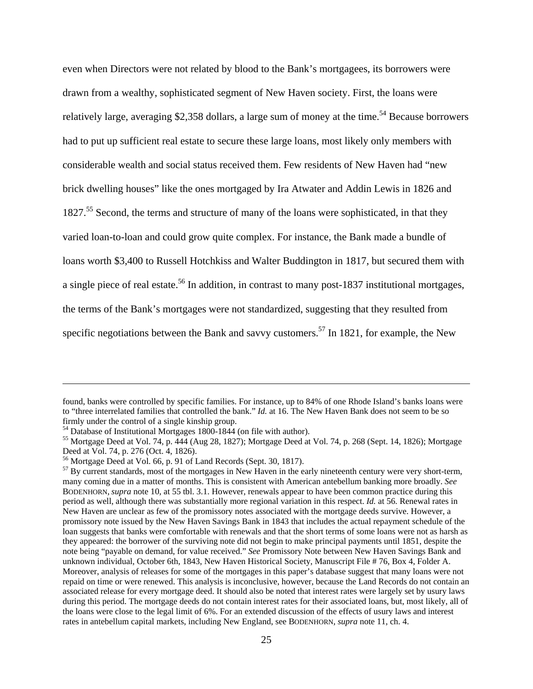even when Directors were not related by blood to the Bank's mortgagees, its borrowers were drawn from a wealthy, sophisticated segment of New Haven society. First, the loans were relatively large, averaging \$2,358 dollars, a large sum of money at the time.<sup>54</sup> Because borrowers had to put up sufficient real estate to secure these large loans, most likely only members with considerable wealth and social status received them. Few residents of New Haven had "new brick dwelling houses" like the ones mortgaged by Ira Atwater and Addin Lewis in 1826 and 1827.<sup>55</sup> Second, the terms and structure of many of the loans were sophisticated, in that they varied loan-to-loan and could grow quite complex. For instance, the Bank made a bundle of loans worth \$3,400 to Russell Hotchkiss and Walter Buddington in 1817, but secured them with a single piece of real estate.<sup>56</sup> In addition, in contrast to many post-1837 institutional mortgages, the terms of the Bank's mortgages were not standardized, suggesting that they resulted from specific negotiations between the Bank and savvy customers.<sup>57</sup> In 1821, for example, the New

found, banks were controlled by specific families. For instance, up to 84% of one Rhode Island's banks loans were to "three interrelated families that controlled the bank." *Id.* at 16. The New Haven Bank does not seem to be so firmly under the control of a single kinship group.<br><sup>54</sup> Database of Institutional Mortgages 1800-1844 (on file with author).

 $55$  Mortgage Deed at Vol. 74, p.  $\frac{444}{444}$  (Aug 28, 1827); Mortgage Deed at Vol. 74, p. 268 (Sept. 14, 1826); Mortgage Deed at Vol. 74, p. 276 (Oct. 4, 1826).

<sup>56</sup> Mortgage Deed at Vol. 66, p. 91 of Land Records (Sept. 30, 1817).

<sup>&</sup>lt;sup>57</sup> By current standards, most of the mortgages in New Haven in the early nineteenth century were very short-term, many coming due in a matter of months. This is consistent with American antebellum banking more broadly. *See*  BODENHORN, *supra* note 10, at 55 tbl. 3.1. However, renewals appear to have been common practice during this period as well, although there was substantially more regional variation in this respect. *Id.* at 56. Renewal rates in New Haven are unclear as few of the promissory notes associated with the mortgage deeds survive. However, a promissory note issued by the New Haven Savings Bank in 1843 that includes the actual repayment schedule of the loan suggests that banks were comfortable with renewals and that the short terms of some loans were not as harsh as they appeared: the borrower of the surviving note did not begin to make principal payments until 1851, despite the note being "payable on demand, for value received." *See* Promissory Note between New Haven Savings Bank and unknown individual, October 6th, 1843, New Haven Historical Society, Manuscript File # 76, Box 4, Folder A. Moreover, analysis of releases for some of the mortgages in this paper's database suggest that many loans were not repaid on time or were renewed. This analysis is inconclusive, however, because the Land Records do not contain an associated release for every mortgage deed. It should also be noted that interest rates were largely set by usury laws during this period. The mortgage deeds do not contain interest rates for their associated loans, but, most likely, all of the loans were close to the legal limit of 6%. For an extended discussion of the effects of usury laws and interest rates in antebellum capital markets, including New England, see BODENHORN, *supra* note 11, ch. 4.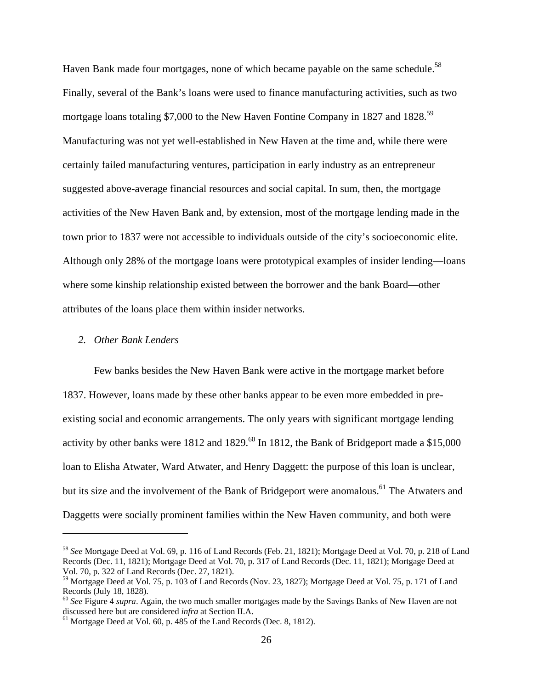Haven Bank made four mortgages, none of which became payable on the same schedule.<sup>58</sup> Finally, several of the Bank's loans were used to finance manufacturing activities, such as two mortgage loans totaling \$7,000 to the New Haven Fontine Company in 1827 and 1828.<sup>59</sup> Manufacturing was not yet well-established in New Haven at the time and, while there were certainly failed manufacturing ventures, participation in early industry as an entrepreneur suggested above-average financial resources and social capital. In sum, then, the mortgage activities of the New Haven Bank and, by extension, most of the mortgage lending made in the town prior to 1837 were not accessible to individuals outside of the city's socioeconomic elite. Although only 28% of the mortgage loans were prototypical examples of insider lending—loans where some kinship relationship existed between the borrower and the bank Board—other attributes of the loans place them within insider networks.

## *2. Other Bank Lenders*

 $\overline{a}$ 

Few banks besides the New Haven Bank were active in the mortgage market before 1837. However, loans made by these other banks appear to be even more embedded in preexisting social and economic arrangements. The only years with significant mortgage lending activity by other banks were 1812 and 1829.<sup>60</sup> In 1812, the Bank of Bridgeport made a \$15,000 loan to Elisha Atwater, Ward Atwater, and Henry Daggett: the purpose of this loan is unclear, but its size and the involvement of the Bank of Bridgeport were anomalous.<sup>61</sup> The Atwaters and Daggetts were socially prominent families within the New Haven community, and both were

<sup>58</sup> *See* Mortgage Deed at Vol. 69, p. 116 of Land Records (Feb. 21, 1821); Mortgage Deed at Vol. 70, p. 218 of Land Records (Dec. 11, 1821); Mortgage Deed at Vol. 70, p. 317 of Land Records (Dec. 11, 1821); Mortgage Deed at Vol. 70, p. 322 of Land Records (Dec. 27, 1821).

<sup>59</sup> Mortgage Deed at Vol. 75, p. 103 of Land Records (Nov. 23, 1827); Mortgage Deed at Vol. 75, p. 171 of Land Records (July 18, 1828).

<sup>60</sup> *See* Figure 4 *supra*. Again, the two much smaller mortgages made by the Savings Banks of New Haven are not discussed here but are considered *infra* at Section II.A.<br><sup>61</sup> Mortgage Deed at Vol. 60, p. 485 of the Land Records (Dec. 8, 1812).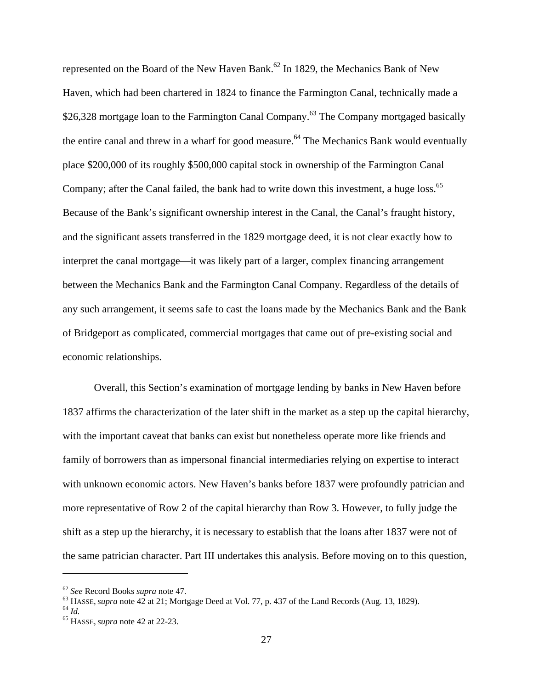represented on the Board of the New Haven Bank.<sup>62</sup> In 1829, the Mechanics Bank of New Haven, which had been chartered in 1824 to finance the Farmington Canal, technically made a \$26,328 mortgage loan to the Farmington Canal Company.<sup>63</sup> The Company mortgaged basically the entire canal and threw in a wharf for good measure.<sup> $64$ </sup> The Mechanics Bank would eventually place \$200,000 of its roughly \$500,000 capital stock in ownership of the Farmington Canal Company; after the Canal failed, the bank had to write down this investment, a huge loss.<sup>65</sup> Because of the Bank's significant ownership interest in the Canal, the Canal's fraught history, and the significant assets transferred in the 1829 mortgage deed, it is not clear exactly how to interpret the canal mortgage—it was likely part of a larger, complex financing arrangement between the Mechanics Bank and the Farmington Canal Company. Regardless of the details of any such arrangement, it seems safe to cast the loans made by the Mechanics Bank and the Bank of Bridgeport as complicated, commercial mortgages that came out of pre-existing social and economic relationships.

Overall, this Section's examination of mortgage lending by banks in New Haven before 1837 affirms the characterization of the later shift in the market as a step up the capital hierarchy, with the important caveat that banks can exist but nonetheless operate more like friends and family of borrowers than as impersonal financial intermediaries relying on expertise to interact with unknown economic actors. New Haven's banks before 1837 were profoundly patrician and more representative of Row 2 of the capital hierarchy than Row 3. However, to fully judge the shift as a step up the hierarchy, it is necessary to establish that the loans after 1837 were not of the same patrician character. Part III undertakes this analysis. Before moving on to this question,

<u>.</u>

<sup>62</sup> *See* Record Books *supra* note 47. 63 HASSE, *supra* note 42 at 21; Mortgage Deed at Vol. 77, p. 437 of the Land Records (Aug. 13, 1829). 64 *Id.* 65 HASSE, *supra* note 42 at 22-23.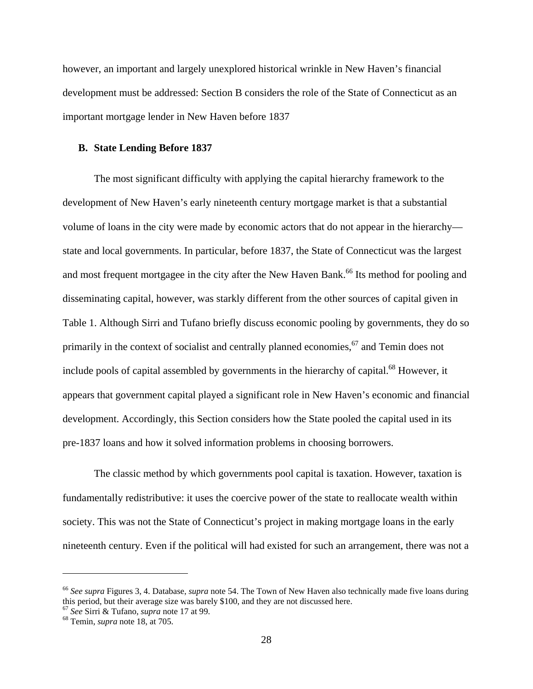however, an important and largely unexplored historical wrinkle in New Haven's financial development must be addressed: Section B considers the role of the State of Connecticut as an important mortgage lender in New Haven before 1837

#### **B. State Lending Before 1837**

The most significant difficulty with applying the capital hierarchy framework to the development of New Haven's early nineteenth century mortgage market is that a substantial volume of loans in the city were made by economic actors that do not appear in the hierarchy state and local governments. In particular, before 1837, the State of Connecticut was the largest and most frequent mortgagee in the city after the New Haven Bank.<sup>66</sup> Its method for pooling and disseminating capital, however, was starkly different from the other sources of capital given in Table 1. Although Sirri and Tufano briefly discuss economic pooling by governments, they do so primarily in the context of socialist and centrally planned economies,<sup>67</sup> and Temin does not include pools of capital assembled by governments in the hierarchy of capital.<sup>68</sup> However, it appears that government capital played a significant role in New Haven's economic and financial development. Accordingly, this Section considers how the State pooled the capital used in its pre-1837 loans and how it solved information problems in choosing borrowers.

The classic method by which governments pool capital is taxation. However, taxation is fundamentally redistributive: it uses the coercive power of the state to reallocate wealth within society. This was not the State of Connecticut's project in making mortgage loans in the early nineteenth century. Even if the political will had existed for such an arrangement, there was not a

<sup>66</sup> *See supra* Figures 3, 4. Database, *supra* note 54. The Town of New Haven also technically made five loans during this period, but their average size was barely \$100, and they are not discussed here. 67 *See* Sirri & Tufano, *supra* note 17 at 99. 68 Temin, *supra* note 18, at 705.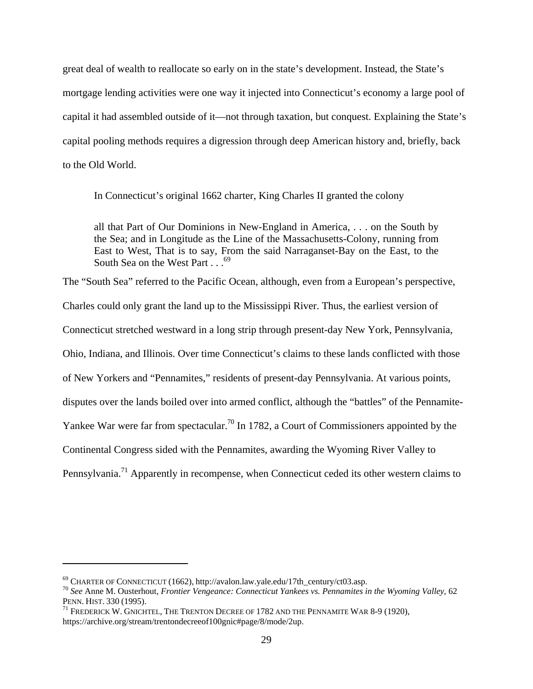great deal of wealth to reallocate so early on in the state's development. Instead, the State's mortgage lending activities were one way it injected into Connecticut's economy a large pool of capital it had assembled outside of it—not through taxation, but conquest. Explaining the State's capital pooling methods requires a digression through deep American history and, briefly, back to the Old World.

In Connecticut's original 1662 charter, King Charles II granted the colony

all that Part of Our Dominions in New-England in America, . . . on the South by the Sea; and in Longitude as the Line of the Massachusetts-Colony, running from East to West, That is to say, From the said Narraganset-Bay on the East, to the South Sea on the West Part . . . <sup>69</sup>

The "South Sea" referred to the Pacific Ocean, although, even from a European's perspective, Charles could only grant the land up to the Mississippi River. Thus, the earliest version of Connecticut stretched westward in a long strip through present-day New York, Pennsylvania, Ohio, Indiana, and Illinois. Over time Connecticut's claims to these lands conflicted with those of New Yorkers and "Pennamites," residents of present-day Pennsylvania. At various points, disputes over the lands boiled over into armed conflict, although the "battles" of the Pennamite-Yankee War were far from spectacular.<sup>70</sup> In 1782, a Court of Commissioners appointed by the Continental Congress sided with the Pennamites, awarding the Wyoming River Valley to Pennsylvania.<sup>71</sup> Apparently in recompense, when Connecticut ceded its other western claims to

<sup>&</sup>lt;sup>69</sup> CHARTER OF CONNECTICUT (1662), http://avalon.law.yale.edu/17th\_century/ct03.asp.<br><sup>70</sup> *See* Anne M. Ousterhout, *Frontier Vengeance: Connecticut Yankees vs. Pennamites in the Wyoming Valley*, 62<br>PENN. HIST. 330 (1995)

 $^{71}$  Frederick W. GNICHTEL, THE TRENTON DECREE OF 1782 AND THE PENNAMITE WAR 8-9 (1920), https://archive.org/stream/trentondecreeof100gnic#page/8/mode/2up.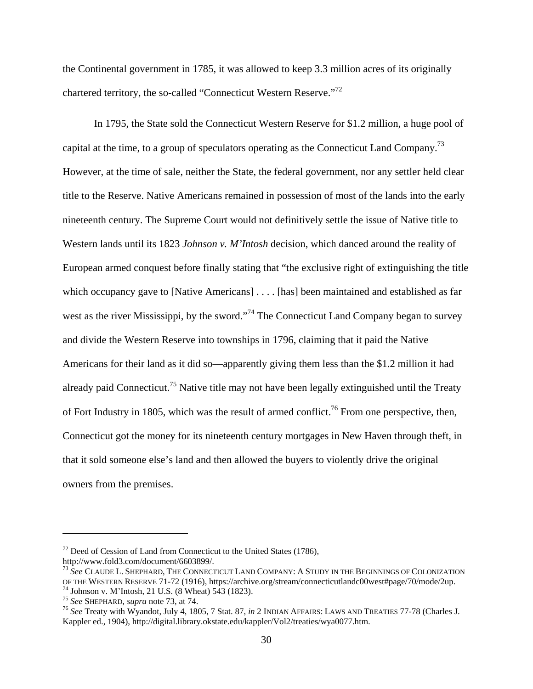the Continental government in 1785, it was allowed to keep 3.3 million acres of its originally chartered territory, the so-called "Connecticut Western Reserve."72

In 1795, the State sold the Connecticut Western Reserve for \$1.2 million, a huge pool of capital at the time, to a group of speculators operating as the Connecticut Land Company.73 However, at the time of sale, neither the State, the federal government, nor any settler held clear title to the Reserve. Native Americans remained in possession of most of the lands into the early nineteenth century. The Supreme Court would not definitively settle the issue of Native title to Western lands until its 1823 *Johnson v. M'Intosh* decision, which danced around the reality of European armed conquest before finally stating that "the exclusive right of extinguishing the title which occupancy gave to [Native Americans] . . . . [has] been maintained and established as far west as the river Mississippi, by the sword."<sup>74</sup> The Connecticut Land Company began to survey and divide the Western Reserve into townships in 1796, claiming that it paid the Native Americans for their land as it did so—apparently giving them less than the \$1.2 million it had already paid Connecticut.<sup>75</sup> Native title may not have been legally extinguished until the Treaty of Fort Industry in 1805, which was the result of armed conflict.<sup>76</sup> From one perspective, then, Connecticut got the money for its nineteenth century mortgages in New Haven through theft, in that it sold someone else's land and then allowed the buyers to violently drive the original owners from the premises.

 $72$  Deed of Cession of Land from Connecticut to the United States (1786), http://www.fold3.com/document/6603899/.

<sup>73</sup> *See* CLAUDE L. SHEPHARD, THE CONNECTICUT LAND COMPANY: A STUDY IN THE BEGINNINGS OF COLONIZATION OF THE WESTERN RESERVE 71-72 (1916), https://archive.org/stream/connecticutlandc00west#page/70/mode/2up.<br><sup>74</sup> Johnson v. M'Intosh, 21 U.S. (8 Wheat) 543 (1823).<br><sup>75</sup> See SHEPHARD, *supra* note 73, at 74.

<sup>&</sup>lt;sup>76</sup> See Treaty with Wyandot, July 4, 1805, 7 Stat. 87, *in* 2 INDIAN AFFAIRS: LAWS AND TREATIES 77-78 (Charles J. Kappler ed., 1904), http://digital.library.okstate.edu/kappler/Vol2/treaties/wya0077.htm.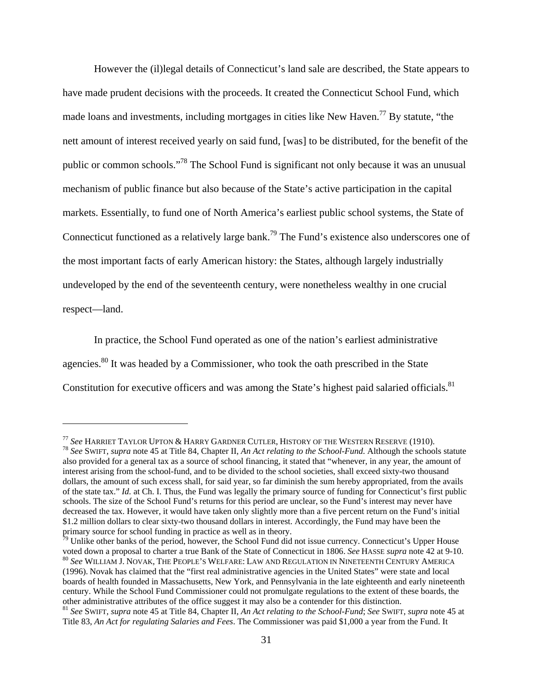However the (il)legal details of Connecticut's land sale are described, the State appears to have made prudent decisions with the proceeds. It created the Connecticut School Fund, which made loans and investments, including mortgages in cities like New Haven.<sup>77</sup> By statute, "the nett amount of interest received yearly on said fund, [was] to be distributed, for the benefit of the public or common schools."78 The School Fund is significant not only because it was an unusual mechanism of public finance but also because of the State's active participation in the capital markets. Essentially, to fund one of North America's earliest public school systems, the State of Connecticut functioned as a relatively large bank.79 The Fund's existence also underscores one of the most important facts of early American history: the States, although largely industrially undeveloped by the end of the seventeenth century, were nonetheless wealthy in one crucial respect—land.

 In practice, the School Fund operated as one of the nation's earliest administrative agencies.<sup>80</sup> It was headed by a Commissioner, who took the oath prescribed in the State Constitution for executive officers and was among the State's highest paid salaried officials.<sup>81</sup>

<sup>&</sup>lt;sup>77</sup> See HARRIET TAYLOR UPTON & HARRY GARDNER CUTLER, HISTORY OF THE WESTERN RESERVE (1910).<br><sup>78</sup> See SWIFT, *supra* note 45 at Title 84, Chapter II, *An Act relating to the School-Fund*. Although the schools statute also provided for a general tax as a source of school financing, it stated that "whenever, in any year, the amount of interest arising from the school-fund, and to be divided to the school societies, shall exceed sixty-two thousand dollars, the amount of such excess shall, for said year, so far diminish the sum hereby appropriated, from the avails of the state tax." *Id.* at Ch. I. Thus, the Fund was legally the primary source of funding for Connecticut's first public schools. The size of the School Fund's returns for this period are unclear, so the Fund's interest may never have decreased the tax. However, it would have taken only slightly more than a five percent return on the Fund's initial \$1.2 million dollars to clear sixty-two thousand dollars in interest. Accordingly, the Fund may have been the primary source for school funding in practice as well as in theory.

<sup>&</sup>lt;sup>79</sup> Unlike other banks of the period, however, the School Fund did not issue currency. Connecticut's Upper House voted down a proposal to charter a true Bank of the State of Connecticut in 1806. See HASSE *supra* note 42  $^{80}$  See William J. Novak, The People's Welfare: Law and Regulation in Nineteenth Century America (1996). Novak has claimed that the "first real administrative agencies in the United States" were state and local boards of health founded in Massachusetts, New York, and Pennsylvania in the late eighteenth and early nineteenth century. While the School Fund Commissioner could not promulgate regulations to the extent of these boards, the other administrative attributes of the office suggest it may also be a contender for this distinction.

<sup>81</sup> *See* SWIFT, *supra* note 45 at Title 84, Chapter II, *An Act relating to the School-Fund*; *See* SWIFT, *supra* note 45 at Title 83, *An Act for regulating Salaries and Fees*. The Commissioner was paid \$1,000 a year from the Fund. It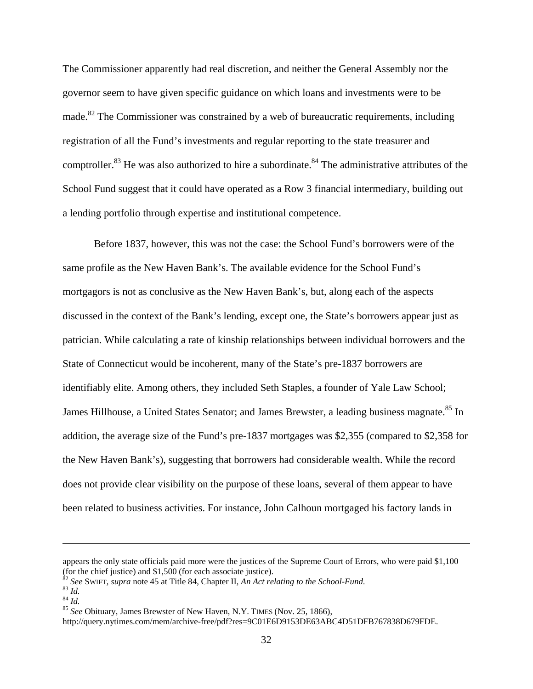The Commissioner apparently had real discretion, and neither the General Assembly nor the governor seem to have given specific guidance on which loans and investments were to be made.<sup>82</sup> The Commissioner was constrained by a web of bureaucratic requirements, including registration of all the Fund's investments and regular reporting to the state treasurer and comptroller.<sup>83</sup> He was also authorized to hire a subordinate.<sup>84</sup> The administrative attributes of the School Fund suggest that it could have operated as a Row 3 financial intermediary, building out a lending portfolio through expertise and institutional competence.

 Before 1837, however, this was not the case: the School Fund's borrowers were of the same profile as the New Haven Bank's. The available evidence for the School Fund's mortgagors is not as conclusive as the New Haven Bank's, but, along each of the aspects discussed in the context of the Bank's lending, except one, the State's borrowers appear just as patrician. While calculating a rate of kinship relationships between individual borrowers and the State of Connecticut would be incoherent, many of the State's pre-1837 borrowers are identifiably elite. Among others, they included Seth Staples, a founder of Yale Law School; James Hillhouse, a United States Senator; and James Brewster, a leading business magnate.<sup>85</sup> In addition, the average size of the Fund's pre-1837 mortgages was \$2,355 (compared to \$2,358 for the New Haven Bank's), suggesting that borrowers had considerable wealth. While the record does not provide clear visibility on the purpose of these loans, several of them appear to have been related to business activities. For instance, John Calhoun mortgaged his factory lands in

appears the only state officials paid more were the justices of the Supreme Court of Errors, who were paid \$1,100 (for the chief justice) and \$1,500 (for each associate justice).<br>
<sup>82</sup> *See* SWIFT, *supra* note 45 at Title 84, Chapter II, *An Act relating to the School-Fund*.<br>
<sup>83</sup> *Id.*<br>
<sup>84</sup> *Id.*<br>
<sup>85</sup> *See* Obituary, James Brewst

http://query.nytimes.com/mem/archive-free/pdf?res=9C01E6D9153DE63ABC4D51DFB767838D679FDE.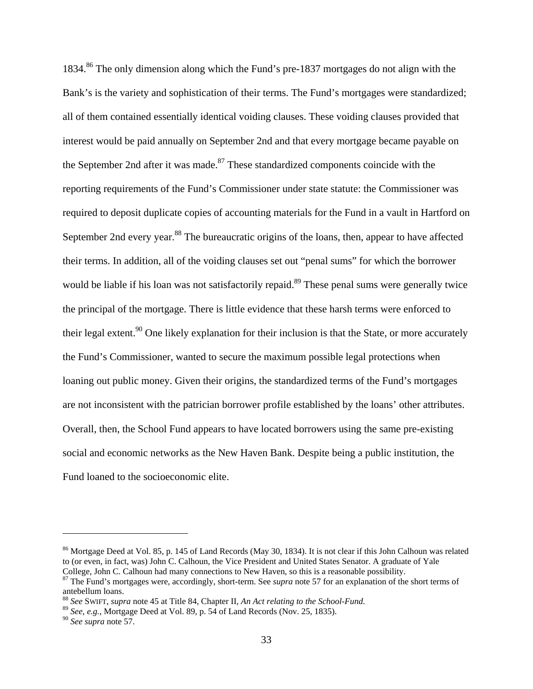1834.86 The only dimension along which the Fund's pre-1837 mortgages do not align with the Bank's is the variety and sophistication of their terms. The Fund's mortgages were standardized; all of them contained essentially identical voiding clauses. These voiding clauses provided that interest would be paid annually on September 2nd and that every mortgage became payable on the September 2nd after it was made.<sup>87</sup> These standardized components coincide with the reporting requirements of the Fund's Commissioner under state statute: the Commissioner was required to deposit duplicate copies of accounting materials for the Fund in a vault in Hartford on September 2nd every year.<sup>88</sup> The bureaucratic origins of the loans, then, appear to have affected their terms. In addition, all of the voiding clauses set out "penal sums" for which the borrower would be liable if his loan was not satisfactorily repaid.<sup>89</sup> These penal sums were generally twice the principal of the mortgage. There is little evidence that these harsh terms were enforced to their legal extent.<sup>90</sup> One likely explanation for their inclusion is that the State, or more accurately the Fund's Commissioner, wanted to secure the maximum possible legal protections when loaning out public money. Given their origins, the standardized terms of the Fund's mortgages are not inconsistent with the patrician borrower profile established by the loans' other attributes. Overall, then, the School Fund appears to have located borrowers using the same pre-existing social and economic networks as the New Haven Bank. Despite being a public institution, the Fund loaned to the socioeconomic elite.

<sup>&</sup>lt;sup>86</sup> Mortgage Deed at Vol. 85, p. 145 of Land Records (May 30, 1834). It is not clear if this John Calhoun was related to (or even, in fact, was) John C. Calhoun, the Vice President and United States Senator. A graduate of Yale College, John C. Calhoun had many connections to New Haven, so this is a reasonable possibility.

<sup>&</sup>lt;sup>87</sup> The Fund's mortgages were, accordingly, short-term. See *supra* note 57 for an explanation of the short terms of antebellum loans.<br><sup>88</sup> See SWIFT, supra note 45 at Title 84, Chapter II, An Act relating to the School-Fund.

<sup>&</sup>lt;sup>89</sup> *See, e.g.*, Mortgage Deed at Vol. 89, p. 54 of Land Records (Nov. 25, 1835).

<sup>90</sup> *See supra* note 57.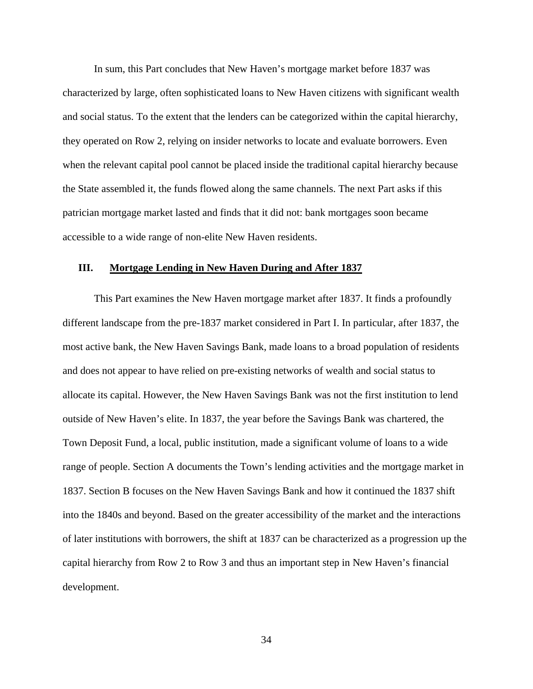In sum, this Part concludes that New Haven's mortgage market before 1837 was characterized by large, often sophisticated loans to New Haven citizens with significant wealth and social status. To the extent that the lenders can be categorized within the capital hierarchy, they operated on Row 2, relying on insider networks to locate and evaluate borrowers. Even when the relevant capital pool cannot be placed inside the traditional capital hierarchy because the State assembled it, the funds flowed along the same channels. The next Part asks if this patrician mortgage market lasted and finds that it did not: bank mortgages soon became accessible to a wide range of non-elite New Haven residents.

## **III. Mortgage Lending in New Haven During and After 1837**

This Part examines the New Haven mortgage market after 1837. It finds a profoundly different landscape from the pre-1837 market considered in Part I. In particular, after 1837, the most active bank, the New Haven Savings Bank, made loans to a broad population of residents and does not appear to have relied on pre-existing networks of wealth and social status to allocate its capital. However, the New Haven Savings Bank was not the first institution to lend outside of New Haven's elite. In 1837, the year before the Savings Bank was chartered, the Town Deposit Fund, a local, public institution, made a significant volume of loans to a wide range of people. Section A documents the Town's lending activities and the mortgage market in 1837. Section B focuses on the New Haven Savings Bank and how it continued the 1837 shift into the 1840s and beyond. Based on the greater accessibility of the market and the interactions of later institutions with borrowers, the shift at 1837 can be characterized as a progression up the capital hierarchy from Row 2 to Row 3 and thus an important step in New Haven's financial development.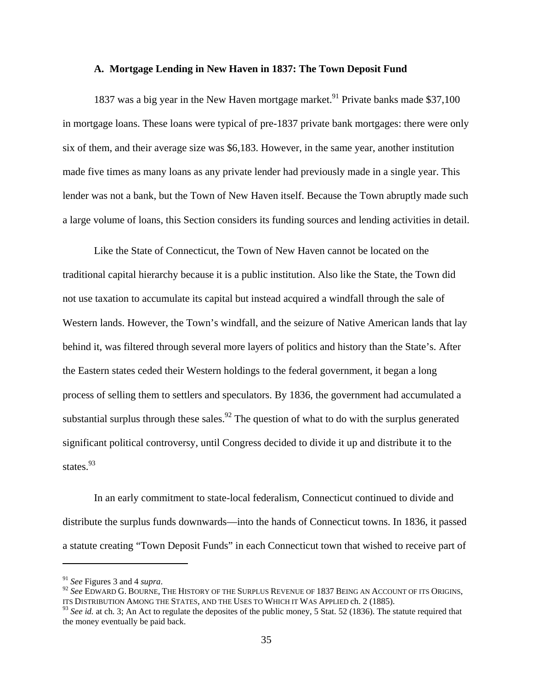#### **A. Mortgage Lending in New Haven in 1837: The Town Deposit Fund**

1837 was a big year in the New Haven mortgage market.<sup>91</sup> Private banks made \$37,100 in mortgage loans. These loans were typical of pre-1837 private bank mortgages: there were only six of them, and their average size was \$6,183. However, in the same year, another institution made five times as many loans as any private lender had previously made in a single year. This lender was not a bank, but the Town of New Haven itself. Because the Town abruptly made such a large volume of loans, this Section considers its funding sources and lending activities in detail.

Like the State of Connecticut, the Town of New Haven cannot be located on the traditional capital hierarchy because it is a public institution. Also like the State, the Town did not use taxation to accumulate its capital but instead acquired a windfall through the sale of Western lands. However, the Town's windfall, and the seizure of Native American lands that lay behind it, was filtered through several more layers of politics and history than the State's. After the Eastern states ceded their Western holdings to the federal government, it began a long process of selling them to settlers and speculators. By 1836, the government had accumulated a substantial surplus through these sales.<sup>92</sup> The question of what to do with the surplus generated significant political controversy, until Congress decided to divide it up and distribute it to the states.<sup>93</sup>

In an early commitment to state-local federalism, Connecticut continued to divide and distribute the surplus funds downwards—into the hands of Connecticut towns. In 1836, it passed a statute creating "Town Deposit Funds" in each Connecticut town that wished to receive part of

<sup>&</sup>lt;sup>91</sup> *See* Figures 3 and 4 *supra*.<br><sup>92</sup> *See* EDWARD G. BOURNE, THE HISTORY OF THE SURPLUS REVENUE OF 1837 BEING AN ACCOUNT OF ITS ORIGINS, ITS DISTRIBUTION AMONG THE STATES, AND THE USES TO WHICH IT WAS APPLIED ch. 2 (1885).

<sup>&</sup>lt;sup>93</sup> See id. at ch. 3; An Act to regulate the deposites of the public money, 5 Stat. 52 (1836). The statute required that the money eventually be paid back.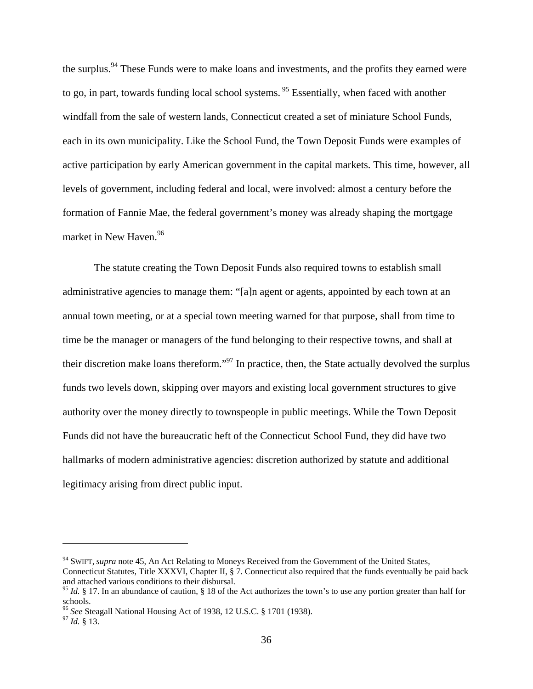the surplus.<sup>94</sup> These Funds were to make loans and investments, and the profits they earned were to go, in part, towards funding local school systems.<sup>95</sup> Essentially, when faced with another windfall from the sale of western lands, Connecticut created a set of miniature School Funds, each in its own municipality. Like the School Fund, the Town Deposit Funds were examples of active participation by early American government in the capital markets. This time, however, all levels of government, including federal and local, were involved: almost a century before the formation of Fannie Mae, the federal government's money was already shaping the mortgage market in New Haven.<sup>96</sup>

The statute creating the Town Deposit Funds also required towns to establish small administrative agencies to manage them: "[a]n agent or agents, appointed by each town at an annual town meeting, or at a special town meeting warned for that purpose, shall from time to time be the manager or managers of the fund belonging to their respective towns, and shall at their discretion make loans thereform."97 In practice, then, the State actually devolved the surplus funds two levels down, skipping over mayors and existing local government structures to give authority over the money directly to townspeople in public meetings. While the Town Deposit Funds did not have the bureaucratic heft of the Connecticut School Fund, they did have two hallmarks of modern administrative agencies: discretion authorized by statute and additional legitimacy arising from direct public input.

<sup>&</sup>lt;sup>94</sup> SWIFT, *supra* note 45, An Act Relating to Moneys Received from the Government of the United States, Connecticut Statutes, Title XXXVI, Chapter II, § 7. Connecticut also required that the funds eventually be paid back and attached various conditions to their disbursal.

<sup>&</sup>lt;sup>95</sup> *Id.* § 17. In an abundance of caution, § 18 of the Act authorizes the town's to use any portion greater than half for schools.

<sup>&</sup>lt;sup>96</sup> See Steagall National Housing Act of 1938, 12 U.S.C. § 1701 (1938).<br><sup>97</sup> *Id.* § 13.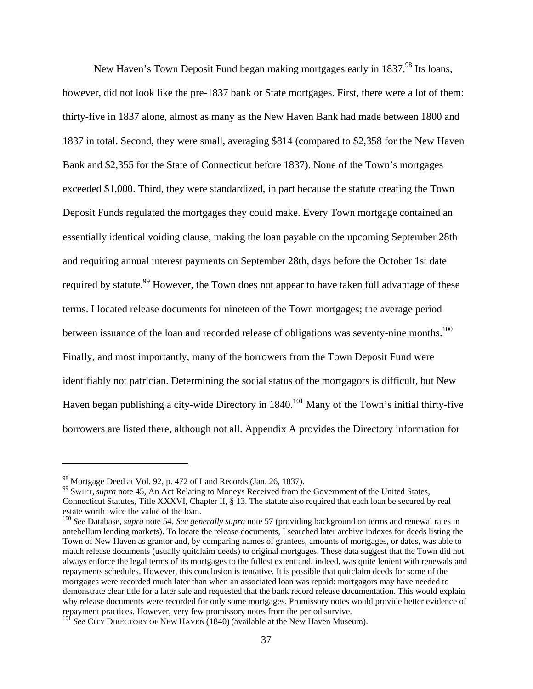New Haven's Town Deposit Fund began making mortgages early in 1837.<sup>98</sup> Its loans, however, did not look like the pre-1837 bank or State mortgages. First, there were a lot of them: thirty-five in 1837 alone, almost as many as the New Haven Bank had made between 1800 and 1837 in total. Second, they were small, averaging \$814 (compared to \$2,358 for the New Haven Bank and \$2,355 for the State of Connecticut before 1837). None of the Town's mortgages exceeded \$1,000. Third, they were standardized, in part because the statute creating the Town Deposit Funds regulated the mortgages they could make. Every Town mortgage contained an essentially identical voiding clause, making the loan payable on the upcoming September 28th and requiring annual interest payments on September 28th, days before the October 1st date required by statute.<sup>99</sup> However, the Town does not appear to have taken full advantage of these terms. I located release documents for nineteen of the Town mortgages; the average period between issuance of the loan and recorded release of obligations was seventy-nine months.<sup>100</sup> Finally, and most importantly, many of the borrowers from the Town Deposit Fund were identifiably not patrician. Determining the social status of the mortgagors is difficult, but New Haven began publishing a city-wide Directory in 1840.<sup>101</sup> Many of the Town's initial thirty-five borrowers are listed there, although not all. Appendix A provides the Directory information for

<sup>98</sup> Mortgage Deed at Vol. 92, p. 472 of Land Records (Jan. 26, 1837).

<sup>99</sup> SWIFT, *supra* note 45, An Act Relating to Moneys Received from the Government of the United States, Connecticut Statutes, Title XXXVI, Chapter II, § 13. The statute also required that each loan be secured by real estate worth twice the value of the loan.

<sup>100</sup> *See* Database, *supra* note 54. *See generally supra* note 57 (providing background on terms and renewal rates in antebellum lending markets). To locate the release documents, I searched later archive indexes for deeds listing the Town of New Haven as grantor and, by comparing names of grantees, amounts of mortgages, or dates, was able to match release documents (usually quitclaim deeds) to original mortgages. These data suggest that the Town did not always enforce the legal terms of its mortgages to the fullest extent and, indeed, was quite lenient with renewals and repayments schedules. However, this conclusion is tentative. It is possible that quitclaim deeds for some of the mortgages were recorded much later than when an associated loan was repaid: mortgagors may have needed to demonstrate clear title for a later sale and requested that the bank record release documentation. This would explain why release documents were recorded for only some mortgages. Promissory notes would provide better evidence of repayment practices. However, very few promissory notes from the period survive.

<sup>&</sup>lt;sup>101</sup> See CITY DIRECTORY OF NEW HAVEN (1840) (available at the New Haven Museum).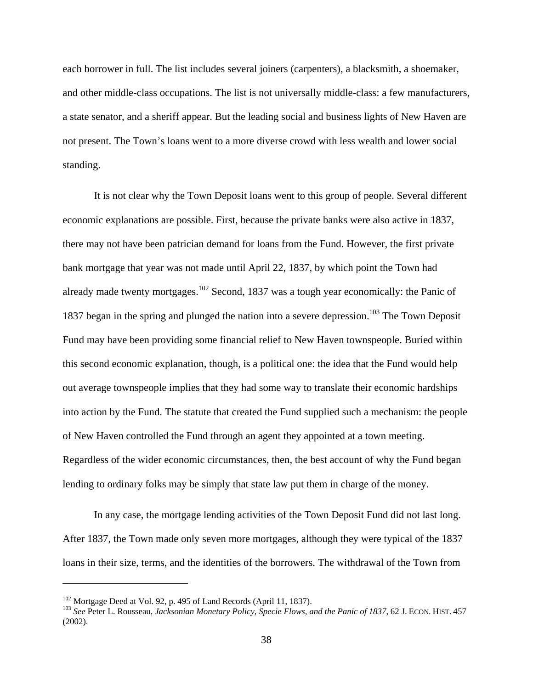each borrower in full. The list includes several joiners (carpenters), a blacksmith, a shoemaker, and other middle-class occupations. The list is not universally middle-class: a few manufacturers, a state senator, and a sheriff appear. But the leading social and business lights of New Haven are not present. The Town's loans went to a more diverse crowd with less wealth and lower social standing.

It is not clear why the Town Deposit loans went to this group of people. Several different economic explanations are possible. First, because the private banks were also active in 1837, there may not have been patrician demand for loans from the Fund. However, the first private bank mortgage that year was not made until April 22, 1837, by which point the Town had already made twenty mortgages.<sup>102</sup> Second, 1837 was a tough year economically: the Panic of 1837 began in the spring and plunged the nation into a severe depression.<sup>103</sup> The Town Deposit Fund may have been providing some financial relief to New Haven townspeople. Buried within this second economic explanation, though, is a political one: the idea that the Fund would help out average townspeople implies that they had some way to translate their economic hardships into action by the Fund. The statute that created the Fund supplied such a mechanism: the people of New Haven controlled the Fund through an agent they appointed at a town meeting. Regardless of the wider economic circumstances, then, the best account of why the Fund began lending to ordinary folks may be simply that state law put them in charge of the money.

In any case, the mortgage lending activities of the Town Deposit Fund did not last long. After 1837, the Town made only seven more mortgages, although they were typical of the 1837 loans in their size, terms, and the identities of the borrowers. The withdrawal of the Town from

<sup>&</sup>lt;sup>102</sup> Mortgage Deed at Vol. 92, p. 495 of Land Records (April 11, 1837).<br><sup>103</sup> *See* Peter L. Rousseau, *Jacksonian Monetary Policy, Specie Flows, and the Panic of 1837*, 62 J. ECON. HIST. 457 (2002).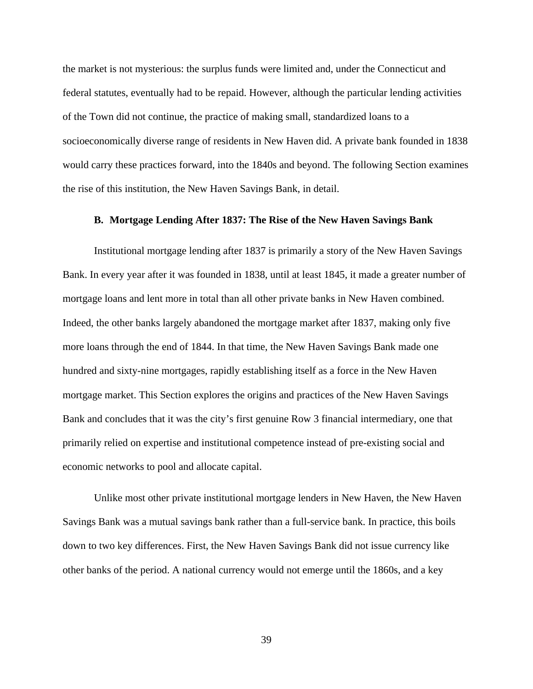the market is not mysterious: the surplus funds were limited and, under the Connecticut and federal statutes, eventually had to be repaid. However, although the particular lending activities of the Town did not continue, the practice of making small, standardized loans to a socioeconomically diverse range of residents in New Haven did. A private bank founded in 1838 would carry these practices forward, into the 1840s and beyond. The following Section examines the rise of this institution, the New Haven Savings Bank, in detail.

## **B. Mortgage Lending After 1837: The Rise of the New Haven Savings Bank**

Institutional mortgage lending after 1837 is primarily a story of the New Haven Savings Bank. In every year after it was founded in 1838, until at least 1845, it made a greater number of mortgage loans and lent more in total than all other private banks in New Haven combined. Indeed, the other banks largely abandoned the mortgage market after 1837, making only five more loans through the end of 1844. In that time, the New Haven Savings Bank made one hundred and sixty-nine mortgages, rapidly establishing itself as a force in the New Haven mortgage market. This Section explores the origins and practices of the New Haven Savings Bank and concludes that it was the city's first genuine Row 3 financial intermediary, one that primarily relied on expertise and institutional competence instead of pre-existing social and economic networks to pool and allocate capital.

Unlike most other private institutional mortgage lenders in New Haven, the New Haven Savings Bank was a mutual savings bank rather than a full-service bank. In practice, this boils down to two key differences. First, the New Haven Savings Bank did not issue currency like other banks of the period. A national currency would not emerge until the 1860s, and a key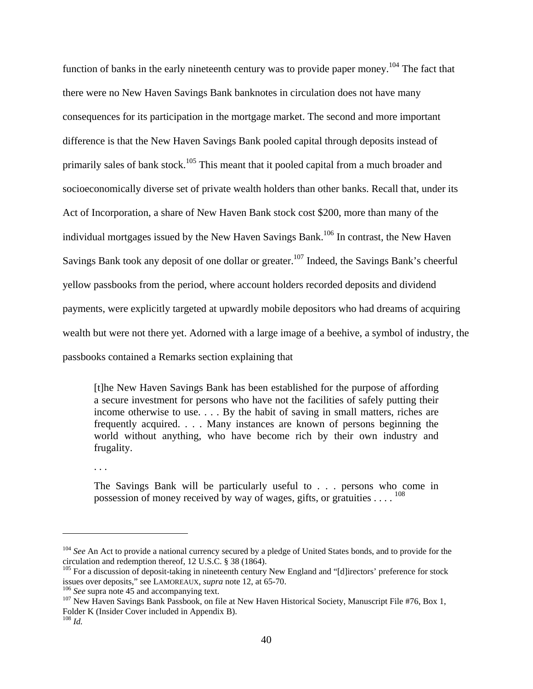function of banks in the early nineteenth century was to provide paper money.<sup>104</sup> The fact that there were no New Haven Savings Bank banknotes in circulation does not have many consequences for its participation in the mortgage market. The second and more important difference is that the New Haven Savings Bank pooled capital through deposits instead of primarily sales of bank stock.<sup>105</sup> This meant that it pooled capital from a much broader and socioeconomically diverse set of private wealth holders than other banks. Recall that, under its Act of Incorporation, a share of New Haven Bank stock cost \$200, more than many of the individual mortgages issued by the New Haven Savings Bank.<sup>106</sup> In contrast, the New Haven Savings Bank took any deposit of one dollar or greater.<sup>107</sup> Indeed, the Savings Bank's cheerful yellow passbooks from the period, where account holders recorded deposits and dividend payments, were explicitly targeted at upwardly mobile depositors who had dreams of acquiring wealth but were not there yet. Adorned with a large image of a beehive, a symbol of industry, the passbooks contained a Remarks section explaining that

[t]he New Haven Savings Bank has been established for the purpose of affording a secure investment for persons who have not the facilities of safely putting their income otherwise to use. . . . By the habit of saving in small matters, riches are frequently acquired. . . . Many instances are known of persons beginning the world without anything, who have become rich by their own industry and frugality.

. . .

The Savings Bank will be particularly useful to . . . persons who come in possession of money received by way of wages, gifts, or gratuities . . . .  $^{108}$ 

<sup>&</sup>lt;sup>104</sup> *See* An Act to provide a national currency secured by a pledge of United States bonds, and to provide for the circulation and redemption thereof, 12 U.S.C. § 38 (1864).

<sup>&</sup>lt;sup>105</sup> For a discussion of deposit-taking in nineteenth century New England and "[d]irectors' preference for stock issues over deposits," see LAMOREAUX, *supra* note 12, at 65-70.

<sup>&</sup>lt;sup>106</sup> See supra note 45 and accompanying text.<br><sup>107</sup> New Haven Savings Bank Passbook, on file at New Haven Historical Society, Manuscript File #76, Box 1, Folder K (Insider Cover included in Appendix B).

 $108$  *Id.*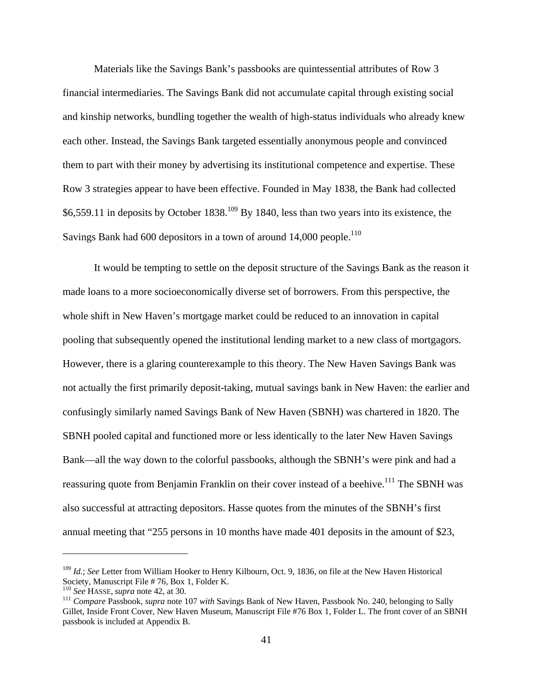Materials like the Savings Bank's passbooks are quintessential attributes of Row 3 financial intermediaries. The Savings Bank did not accumulate capital through existing social and kinship networks, bundling together the wealth of high-status individuals who already knew each other. Instead, the Savings Bank targeted essentially anonymous people and convinced them to part with their money by advertising its institutional competence and expertise. These Row 3 strategies appear to have been effective. Founded in May 1838, the Bank had collected \$6,559.11 in deposits by October  $1838$ <sup>109</sup> By 1840, less than two years into its existence, the Savings Bank had  $600$  depositors in a town of around 14,000 people.<sup>110</sup>

 It would be tempting to settle on the deposit structure of the Savings Bank as the reason it made loans to a more socioeconomically diverse set of borrowers. From this perspective, the whole shift in New Haven's mortgage market could be reduced to an innovation in capital pooling that subsequently opened the institutional lending market to a new class of mortgagors. However, there is a glaring counterexample to this theory. The New Haven Savings Bank was not actually the first primarily deposit-taking, mutual savings bank in New Haven: the earlier and confusingly similarly named Savings Bank of New Haven (SBNH) was chartered in 1820. The SBNH pooled capital and functioned more or less identically to the later New Haven Savings Bank—all the way down to the colorful passbooks, although the SBNH's were pink and had a reassuring quote from Benjamin Franklin on their cover instead of a beehive.<sup>111</sup> The SBNH was also successful at attracting depositors. Hasse quotes from the minutes of the SBNH's first annual meeting that "255 persons in 10 months have made 401 deposits in the amount of \$23,

1

<sup>109</sup> *Id.*; *See* Letter from William Hooker to Henry Kilbourn, Oct. 9, 1836, on file at the New Haven Historical Society, Manuscript File # 76, Box 1, Folder K.<br><sup>110</sup> See HASSE, supra note 42, at 30.

<sup>&</sup>lt;sup>111</sup> Compare Passbook, *supra* note 107 *with* Savings Bank of New Haven, Passbook No. 240, belonging to Sally Gillet, Inside Front Cover, New Haven Museum, Manuscript File #76 Box 1, Folder L. The front cover of an SBNH passbook is included at Appendix B.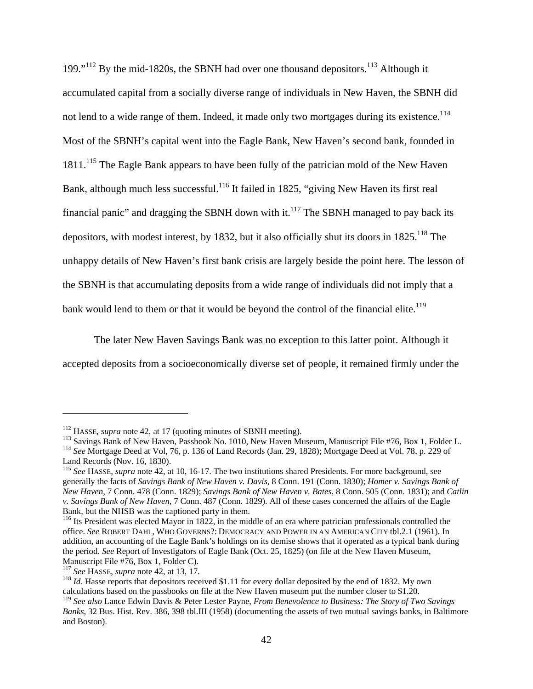199."<sup>112</sup> By the mid-1820s, the SBNH had over one thousand depositors.<sup>113</sup> Although it accumulated capital from a socially diverse range of individuals in New Haven, the SBNH did not lend to a wide range of them. Indeed, it made only two mortgages during its existence.<sup>114</sup> Most of the SBNH's capital went into the Eagle Bank, New Haven's second bank, founded in 1811.<sup>115</sup> The Eagle Bank appears to have been fully of the patrician mold of the New Haven Bank, although much less successful.<sup>116</sup> It failed in 1825, "giving New Haven its first real financial panic" and dragging the SBNH down with it. $117$  The SBNH managed to pay back its depositors, with modest interest, by 1832, but it also officially shut its doors in  $1825$ .<sup>118</sup> The unhappy details of New Haven's first bank crisis are largely beside the point here. The lesson of the SBNH is that accumulating deposits from a wide range of individuals did not imply that a bank would lend to them or that it would be beyond the control of the financial elite.<sup>119</sup>

The later New Haven Savings Bank was no exception to this latter point. Although it accepted deposits from a socioeconomically diverse set of people, it remained firmly under the

<sup>&</sup>lt;sup>112</sup> HASSE, *supra* note 42, at 17 (quoting minutes of SBNH meeting).<br><sup>113</sup> Savings Bank of New Haven, Passbook No. 1010, New Haven Museum, Manuscript File #76, Box 1, Folder L.<br><sup>114</sup> See Mortgage Deed at Vol, 76, p. 136 Land Records (Nov. 16, 1830).

<sup>115</sup> *See* HASSE, *supra* note 42, at 10, 16-17. The two institutions shared Presidents. For more background, see generally the facts of *Savings Bank of New Haven v. Davis*, 8 Conn. 191 (Conn. 1830); *Homer v. Savings Bank of New Haven*, 7 Conn. 478 (Conn. 1829); *Savings Bank of New Haven v. Bates*, 8 Conn. 505 (Conn. 1831); and *Catlin v. Savings Bank of New Haven*, 7 Conn. 487 (Conn. 1829). All of these cases concerned the affairs of the Eagle Bank, but the NHSB was the captioned party in them.

<sup>&</sup>lt;sup>116</sup> Its President was elected Mayor in 1822, in the middle of an era where patrician professionals controlled the office. *See* ROBERT DAHL, WHO GOVERNS?: DEMOCRACY AND POWER IN AN AMERICAN CITY tbl.2.1 (1961). In addition, an accounting of the Eagle Bank's holdings on its demise shows that it operated as a typical bank during the period. *See* Report of Investigators of Eagle Bank (Oct. 25, 1825) (on file at the New Haven Museum, Manuscript File #76, Box 1, Folder C).<br><sup>117</sup> See HASSE, supra note 42, at 13, 17.

<sup>&</sup>lt;sup>118</sup> *Id.* Hasse reports that depositors received \$1.11 for every dollar deposited by the end of 1832. My own calculations based on the passbooks on file at the New Haven museum put the number closer to \$1.20.

<sup>119</sup> *See also* Lance Edwin Davis & Peter Lester Payne, *From Benevolence to Business: The Story of Two Savings Banks*, 32 Bus. Hist. Rev. 386, 398 tbl.III (1958) (documenting the assets of two mutual savings banks, in Baltimore and Boston).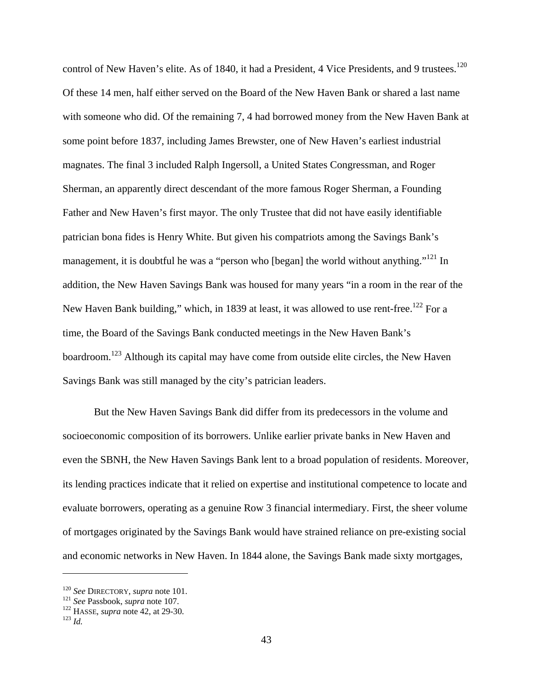control of New Haven's elite. As of 1840, it had a President, 4 Vice Presidents, and 9 trustees.<sup>120</sup> Of these 14 men, half either served on the Board of the New Haven Bank or shared a last name with someone who did. Of the remaining 7, 4 had borrowed money from the New Haven Bank at some point before 1837, including James Brewster, one of New Haven's earliest industrial magnates. The final 3 included Ralph Ingersoll, a United States Congressman, and Roger Sherman, an apparently direct descendant of the more famous Roger Sherman, a Founding Father and New Haven's first mayor. The only Trustee that did not have easily identifiable patrician bona fides is Henry White. But given his compatriots among the Savings Bank's management, it is doubtful he was a "person who [began] the world without anything."<sup>121</sup> In addition, the New Haven Savings Bank was housed for many years "in a room in the rear of the New Haven Bank building," which, in 1839 at least, it was allowed to use rent-free.<sup>122</sup> For a time, the Board of the Savings Bank conducted meetings in the New Haven Bank's boardroom.<sup>123</sup> Although its capital may have come from outside elite circles, the New Haven Savings Bank was still managed by the city's patrician leaders.

 But the New Haven Savings Bank did differ from its predecessors in the volume and socioeconomic composition of its borrowers. Unlike earlier private banks in New Haven and even the SBNH, the New Haven Savings Bank lent to a broad population of residents. Moreover, its lending practices indicate that it relied on expertise and institutional competence to locate and evaluate borrowers, operating as a genuine Row 3 financial intermediary. First, the sheer volume of mortgages originated by the Savings Bank would have strained reliance on pre-existing social and economic networks in New Haven. In 1844 alone, the Savings Bank made sixty mortgages,

<u>.</u>

<sup>120</sup> *See* DIRECTORY, *supra* note 101. 121 *See* Passbook, *supra* note 107. 122 HASSE, *supra* note 42, at 29-30. 123 *Id.*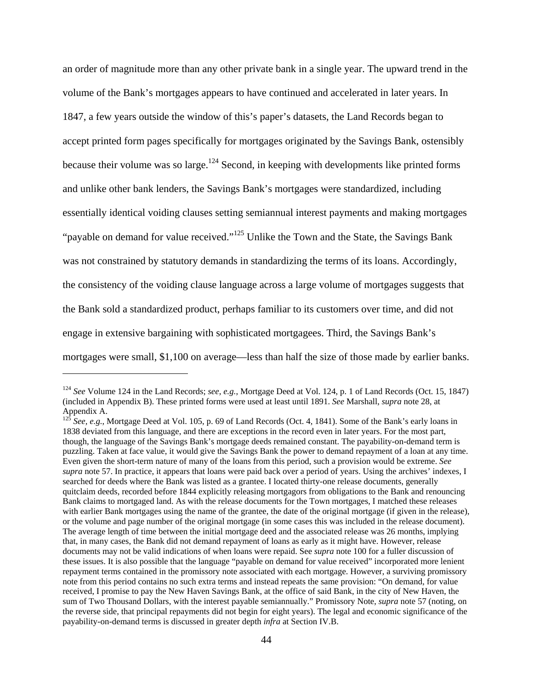an order of magnitude more than any other private bank in a single year. The upward trend in the volume of the Bank's mortgages appears to have continued and accelerated in later years. In 1847, a few years outside the window of this's paper's datasets, the Land Records began to accept printed form pages specifically for mortgages originated by the Savings Bank, ostensibly because their volume was so large.<sup>124</sup> Second, in keeping with developments like printed forms and unlike other bank lenders, the Savings Bank's mortgages were standardized, including essentially identical voiding clauses setting semiannual interest payments and making mortgages "payable on demand for value received."125 Unlike the Town and the State, the Savings Bank was not constrained by statutory demands in standardizing the terms of its loans. Accordingly, the consistency of the voiding clause language across a large volume of mortgages suggests that the Bank sold a standardized product, perhaps familiar to its customers over time, and did not engage in extensive bargaining with sophisticated mortgagees. Third, the Savings Bank's mortgages were small, \$1,100 on average—less than half the size of those made by earlier banks.

<sup>124</sup> *See* Volume 124 in the Land Records; *see, e.g.*, Mortgage Deed at Vol. 124, p. 1 of Land Records (Oct. 15, 1847) (included in Appendix B). These printed forms were used at least until 1891. *See* Marshall, *supra* note 28, at Appendix A.

<sup>&</sup>lt;sup>125</sup> See, e.g., Mortgage Deed at Vol. 105, p. 69 of Land Records (Oct. 4, 1841). Some of the Bank's early loans in 1838 deviated from this language, and there are exceptions in the record even in later years. For the most part, though, the language of the Savings Bank's mortgage deeds remained constant. The payability-on-demand term is puzzling. Taken at face value, it would give the Savings Bank the power to demand repayment of a loan at any time. Even given the short-term nature of many of the loans from this period, such a provision would be extreme. *See supra* note 57. In practice, it appears that loans were paid back over a period of years. Using the archives' indexes, I searched for deeds where the Bank was listed as a grantee. I located thirty-one release documents, generally quitclaim deeds, recorded before 1844 explicitly releasing mortgagors from obligations to the Bank and renouncing Bank claims to mortgaged land. As with the release documents for the Town mortgages, I matched these releases with earlier Bank mortgages using the name of the grantee, the date of the original mortgage (if given in the release), or the volume and page number of the original mortgage (in some cases this was included in the release document). The average length of time between the initial mortgage deed and the associated release was 26 months, implying that, in many cases, the Bank did not demand repayment of loans as early as it might have. However, release documents may not be valid indications of when loans were repaid. See *supra* note 100 for a fuller discussion of these issues. It is also possible that the language "payable on demand for value received" incorporated more lenient repayment terms contained in the promissory note associated with each mortgage. However, a surviving promissory note from this period contains no such extra terms and instead repeats the same provision: "On demand, for value received, I promise to pay the New Haven Savings Bank, at the office of said Bank, in the city of New Haven, the sum of Two Thousand Dollars, with the interest payable semiannually." Promissory Note, *supra* note 57 (noting, on the reverse side, that principal repayments did not begin for eight years). The legal and economic significance of the payability-on-demand terms is discussed in greater depth *infra* at Section IV.B.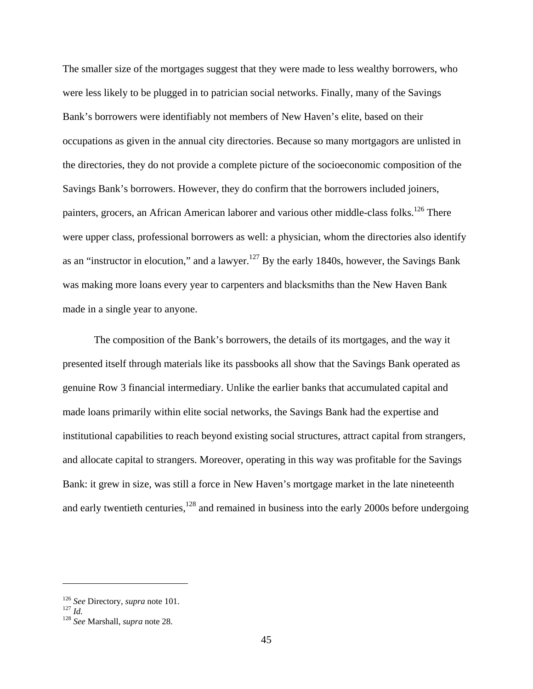The smaller size of the mortgages suggest that they were made to less wealthy borrowers, who were less likely to be plugged in to patrician social networks. Finally, many of the Savings Bank's borrowers were identifiably not members of New Haven's elite, based on their occupations as given in the annual city directories. Because so many mortgagors are unlisted in the directories, they do not provide a complete picture of the socioeconomic composition of the Savings Bank's borrowers. However, they do confirm that the borrowers included joiners, painters, grocers, an African American laborer and various other middle-class folks.<sup>126</sup> There were upper class, professional borrowers as well: a physician, whom the directories also identify as an "instructor in elocution," and a lawyer. $127$  By the early 1840s, however, the Savings Bank was making more loans every year to carpenters and blacksmiths than the New Haven Bank made in a single year to anyone.

The composition of the Bank's borrowers, the details of its mortgages, and the way it presented itself through materials like its passbooks all show that the Savings Bank operated as genuine Row 3 financial intermediary. Unlike the earlier banks that accumulated capital and made loans primarily within elite social networks, the Savings Bank had the expertise and institutional capabilities to reach beyond existing social structures, attract capital from strangers, and allocate capital to strangers. Moreover, operating in this way was profitable for the Savings Bank: it grew in size, was still a force in New Haven's mortgage market in the late nineteenth and early twentieth centuries, $128$  and remained in business into the early 2000s before undergoing

<sup>126</sup> *See* Directory, *supra* note 101. 127 *Id.* <sup>128</sup> *See* Marshall, *supra* note 28.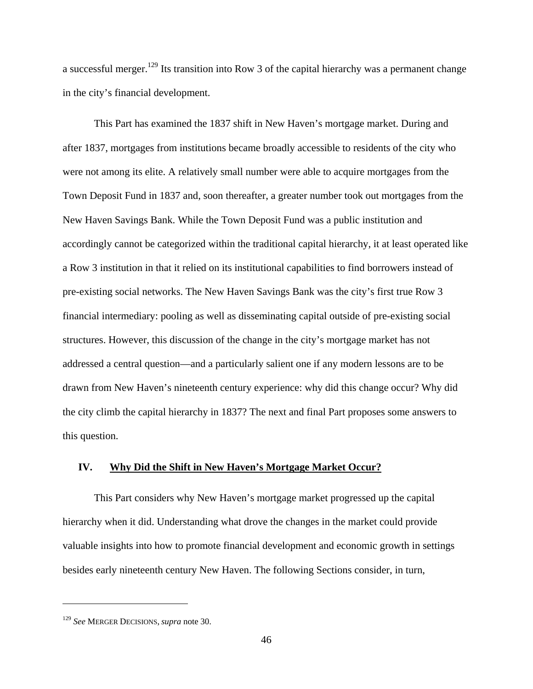a successful merger.<sup>129</sup> Its transition into Row 3 of the capital hierarchy was a permanent change in the city's financial development.

This Part has examined the 1837 shift in New Haven's mortgage market. During and after 1837, mortgages from institutions became broadly accessible to residents of the city who were not among its elite. A relatively small number were able to acquire mortgages from the Town Deposit Fund in 1837 and, soon thereafter, a greater number took out mortgages from the New Haven Savings Bank. While the Town Deposit Fund was a public institution and accordingly cannot be categorized within the traditional capital hierarchy, it at least operated like a Row 3 institution in that it relied on its institutional capabilities to find borrowers instead of pre-existing social networks. The New Haven Savings Bank was the city's first true Row 3 financial intermediary: pooling as well as disseminating capital outside of pre-existing social structures. However, this discussion of the change in the city's mortgage market has not addressed a central question—and a particularly salient one if any modern lessons are to be drawn from New Haven's nineteenth century experience: why did this change occur? Why did the city climb the capital hierarchy in 1837? The next and final Part proposes some answers to this question.

## **IV. Why Did the Shift in New Haven's Mortgage Market Occur?**

This Part considers why New Haven's mortgage market progressed up the capital hierarchy when it did. Understanding what drove the changes in the market could provide valuable insights into how to promote financial development and economic growth in settings besides early nineteenth century New Haven. The following Sections consider, in turn,

<u>.</u>

<sup>129</sup> *See* MERGER DECISIONS, *supra* note 30.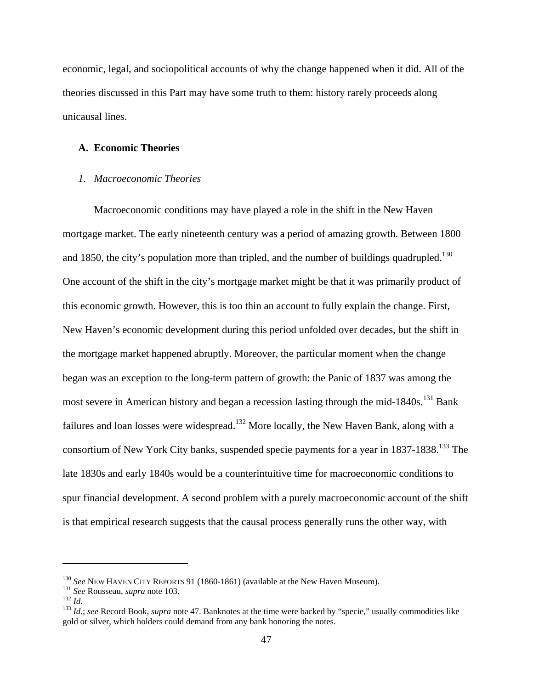economic, legal, and sociopolitical accounts of why the change happened when it did. All of the theories discussed in this Part may have some truth to them: history rarely proceeds along unicausal lines.

#### **A. Economic Theories**

## *1. Macroeconomic Theories*

Macroeconomic conditions may have played a role in the shift in the New Haven mortgage market. The early nineteenth century was a period of amazing growth. Between 1800 and 1850, the city's population more than tripled, and the number of buildings quadrupled.<sup>130</sup> One account of the shift in the city's mortgage market might be that it was primarily product of this economic growth. However, this is too thin an account to fully explain the change. First, New Haven's economic development during this period unfolded over decades, but the shift in the mortgage market happened abruptly. Moreover, the particular moment when the change began was an exception to the long-term pattern of growth: the Panic of 1837 was among the most severe in American history and began a recession lasting through the mid-1840s.<sup>131</sup> Bank failures and loan losses were widespread.<sup>132</sup> More locally, the New Haven Bank, along with a consortium of New York City banks, suspended specie payments for a year in 1837-1838.<sup>133</sup> The late 1830s and early 1840s would be a counterintuitive time for macroeconomic conditions to spur financial development. A second problem with a purely macroeconomic account of the shift is that empirical research suggests that the causal process generally runs the other way, with

1

<sup>&</sup>lt;sup>130</sup> See NEW HAVEN CITY REPORTS 91 (1860-1861) (available at the New Haven Museum).<br><sup>131</sup> See Rousseau, *supra* note 103.<br><sup>132</sup> Id.; see Record Book, *supra* note 47. Banknotes at the time were backed by "specie," usuall gold or silver, which holders could demand from any bank honoring the notes.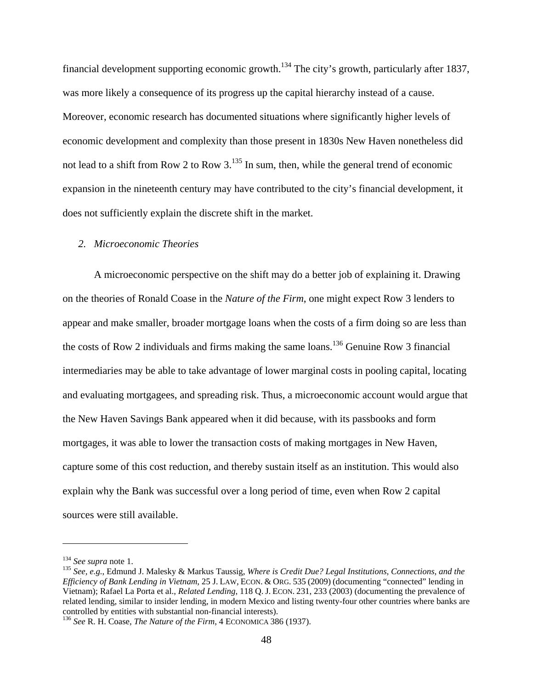financial development supporting economic growth.134 The city's growth, particularly after 1837, was more likely a consequence of its progress up the capital hierarchy instead of a cause. Moreover, economic research has documented situations where significantly higher levels of economic development and complexity than those present in 1830s New Haven nonetheless did not lead to a shift from Row 2 to Row  $3.135$  In sum, then, while the general trend of economic expansion in the nineteenth century may have contributed to the city's financial development, it does not sufficiently explain the discrete shift in the market.

## *2. Microeconomic Theories*

A microeconomic perspective on the shift may do a better job of explaining it. Drawing on the theories of Ronald Coase in the *Nature of the Firm*, one might expect Row 3 lenders to appear and make smaller, broader mortgage loans when the costs of a firm doing so are less than the costs of Row 2 individuals and firms making the same loans.<sup>136</sup> Genuine Row 3 financial intermediaries may be able to take advantage of lower marginal costs in pooling capital, locating and evaluating mortgagees, and spreading risk. Thus, a microeconomic account would argue that the New Haven Savings Bank appeared when it did because, with its passbooks and form mortgages, it was able to lower the transaction costs of making mortgages in New Haven, capture some of this cost reduction, and thereby sustain itself as an institution. This would also explain why the Bank was successful over a long period of time, even when Row 2 capital sources were still available.

<u>.</u>

<sup>&</sup>lt;sup>134</sup> *See supra* note 1.<br><sup>135</sup> *See, e.g., Edmund J. Malesky & Markus Taussig, Where is Credit Due? Legal Institutions, Connections, and the Efficiency of Bank Lending in Vietnam*, 25 J. LAW, ECON. & ORG. 535 (2009) (documenting "connected" lending in Vietnam); Rafael La Porta et al., *Related Lending*, 118 Q. J. ECON. 231, 233 (2003) (documenting the prevalence of related lending, similar to insider lending, in modern Mexico and listing twenty-four other countries where banks are controlled by entities with substantial non-financial interests).

<sup>136</sup> *See* R. H. Coase, *The Nature of the Firm*, 4 ECONOMICA 386 (1937).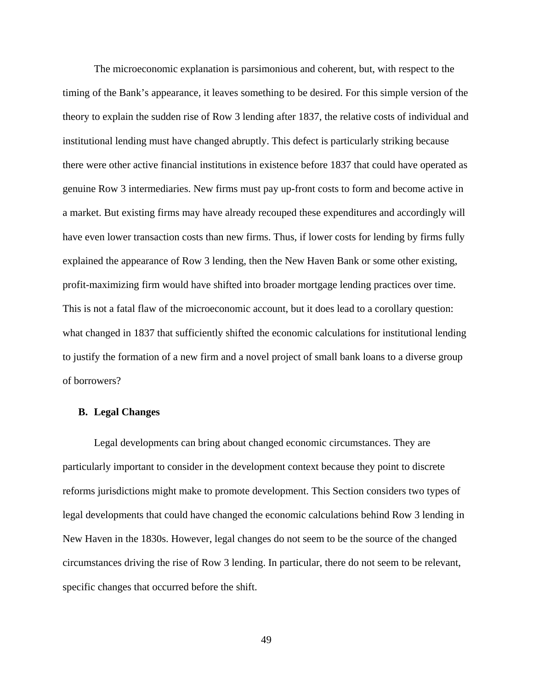The microeconomic explanation is parsimonious and coherent, but, with respect to the timing of the Bank's appearance, it leaves something to be desired. For this simple version of the theory to explain the sudden rise of Row 3 lending after 1837, the relative costs of individual and institutional lending must have changed abruptly. This defect is particularly striking because there were other active financial institutions in existence before 1837 that could have operated as genuine Row 3 intermediaries. New firms must pay up-front costs to form and become active in a market. But existing firms may have already recouped these expenditures and accordingly will have even lower transaction costs than new firms. Thus, if lower costs for lending by firms fully explained the appearance of Row 3 lending, then the New Haven Bank or some other existing, profit-maximizing firm would have shifted into broader mortgage lending practices over time. This is not a fatal flaw of the microeconomic account, but it does lead to a corollary question: what changed in 1837 that sufficiently shifted the economic calculations for institutional lending to justify the formation of a new firm and a novel project of small bank loans to a diverse group of borrowers?

#### **B. Legal Changes**

Legal developments can bring about changed economic circumstances. They are particularly important to consider in the development context because they point to discrete reforms jurisdictions might make to promote development. This Section considers two types of legal developments that could have changed the economic calculations behind Row 3 lending in New Haven in the 1830s. However, legal changes do not seem to be the source of the changed circumstances driving the rise of Row 3 lending. In particular, there do not seem to be relevant, specific changes that occurred before the shift.

49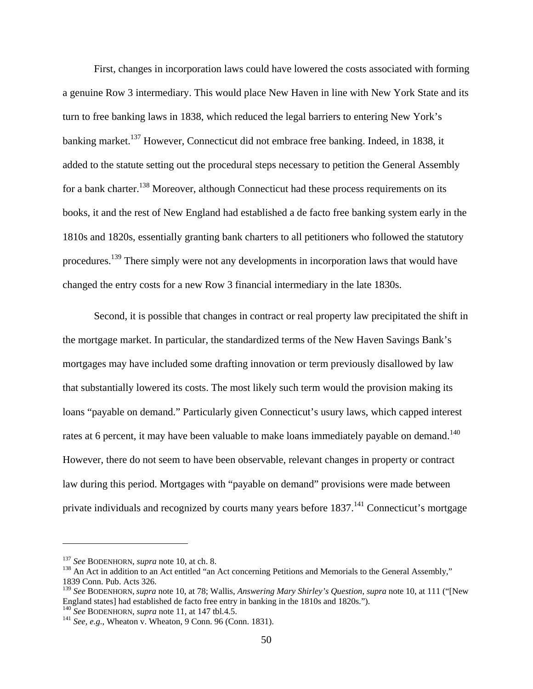First, changes in incorporation laws could have lowered the costs associated with forming a genuine Row 3 intermediary. This would place New Haven in line with New York State and its turn to free banking laws in 1838, which reduced the legal barriers to entering New York's banking market.<sup>137</sup> However, Connecticut did not embrace free banking. Indeed, in 1838, it added to the statute setting out the procedural steps necessary to petition the General Assembly for a bank charter.<sup>138</sup> Moreover, although Connecticut had these process requirements on its books, it and the rest of New England had established a de facto free banking system early in the 1810s and 1820s, essentially granting bank charters to all petitioners who followed the statutory procedures.139 There simply were not any developments in incorporation laws that would have changed the entry costs for a new Row 3 financial intermediary in the late 1830s.

Second, it is possible that changes in contract or real property law precipitated the shift in the mortgage market. In particular, the standardized terms of the New Haven Savings Bank's mortgages may have included some drafting innovation or term previously disallowed by law that substantially lowered its costs. The most likely such term would the provision making its loans "payable on demand." Particularly given Connecticut's usury laws, which capped interest rates at 6 percent, it may have been valuable to make loans immediately payable on demand.<sup>140</sup> However, there do not seem to have been observable, relevant changes in property or contract law during this period. Mortgages with "payable on demand" provisions were made between private individuals and recognized by courts many years before  $1837<sup>141</sup>$  Connecticut's mortgage

<sup>&</sup>lt;sup>137</sup> *See* BODENHORN, *supra* note 10, at ch. 8.<br><sup>138</sup> An Act in addition to an Act entitled "an Act concerning Petitions and Memorials to the General Assembly," 1839 Conn. Pub. Acts 326.

<sup>139</sup> *See* BODENHORN, *supra* note 10, at 78; Wallis, *Answering Mary Shirley's Question*, *supra* note 10, at 111 ("[New England states] had established de facto free entry in banking in the 1810s and 1820s.").<br><sup>140</sup> See BODENHORN, supra note 11, at 147 tbl.4.5.

<sup>141</sup> *See, e.g.*, Wheaton v. Wheaton, 9 Conn. 96 (Conn. 1831).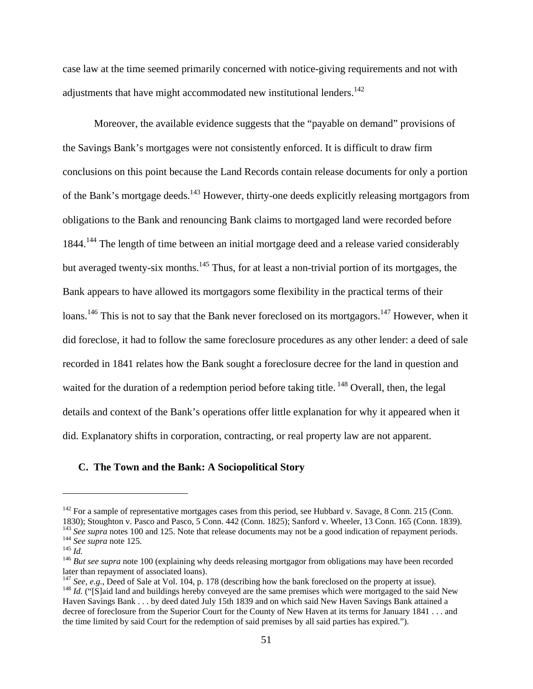case law at the time seemed primarily concerned with notice-giving requirements and not with adjustments that have might accommodated new institutional lenders.<sup>142</sup>

Moreover, the available evidence suggests that the "payable on demand" provisions of the Savings Bank's mortgages were not consistently enforced. It is difficult to draw firm conclusions on this point because the Land Records contain release documents for only a portion of the Bank's mortgage deeds.<sup>143</sup> However, thirty-one deeds explicitly releasing mortgagors from obligations to the Bank and renouncing Bank claims to mortgaged land were recorded before 1844.<sup>144</sup> The length of time between an initial mortgage deed and a release varied considerably but averaged twenty-six months.<sup>145</sup> Thus, for at least a non-trivial portion of its mortgages, the Bank appears to have allowed its mortgagors some flexibility in the practical terms of their loans.<sup>146</sup> This is not to say that the Bank never foreclosed on its mortgagors.<sup>147</sup> However, when it did foreclose, it had to follow the same foreclosure procedures as any other lender: a deed of sale recorded in 1841 relates how the Bank sought a foreclosure decree for the land in question and waited for the duration of a redemption period before taking title. <sup>148</sup> Overall, then, the legal details and context of the Bank's operations offer little explanation for why it appeared when it did. Explanatory shifts in corporation, contracting, or real property law are not apparent.

#### **C. The Town and the Bank: A Sociopolitical Story**

 $142$  For a sample of representative mortgages cases from this period, see Hubbard v. Savage, 8 Conn. 215 (Conn. 1830); Stoughton v. Pasco and Pasco, 5 Conn. 442 (Conn. 1825); Sanford v. Wheeler, 13 Conn. 165 (Conn. 1839).<br><sup>143</sup> See supra notes 100 and 125. Note that release documents may not be a good indication of repayment periods <sup>144</sup> See supra note 125.<br><sup>145</sup> *Id.*<br><sup>145</sup> *Id.*<br><sup>146</sup> *But see supra* note 100 (explaining why deeds releasing mortgagor from obligations may have been recorded

later than repayment of associated loans).<br><sup>147</sup> See, e.g., Deed of Sale at Vol. 104, p. 178 (describing how the bank foreclosed on the property at issue).

 $^{148}$  *Id.* ("[S]aid land and buildings hereby conveyed are the same premises which were mortgaged to the said New Haven Savings Bank . . . by deed dated July 15th 1839 and on which said New Haven Savings Bank attained a decree of foreclosure from the Superior Court for the County of New Haven at its terms for January 1841 . . . and the time limited by said Court for the redemption of said premises by all said parties has expired.").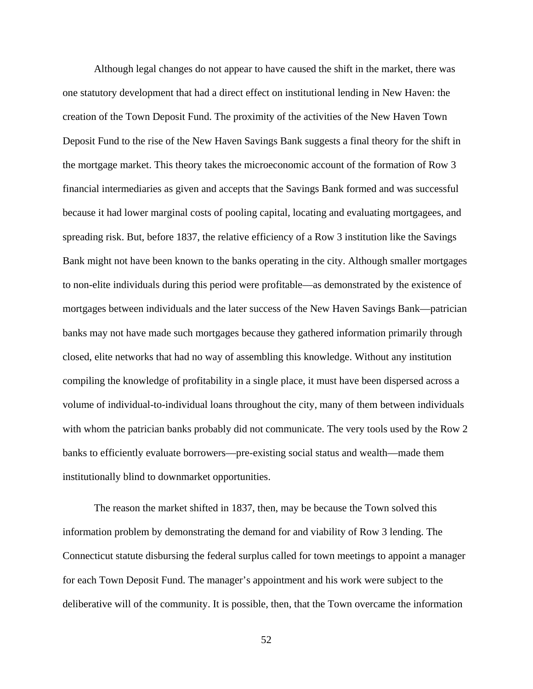Although legal changes do not appear to have caused the shift in the market, there was one statutory development that had a direct effect on institutional lending in New Haven: the creation of the Town Deposit Fund. The proximity of the activities of the New Haven Town Deposit Fund to the rise of the New Haven Savings Bank suggests a final theory for the shift in the mortgage market. This theory takes the microeconomic account of the formation of Row 3 financial intermediaries as given and accepts that the Savings Bank formed and was successful because it had lower marginal costs of pooling capital, locating and evaluating mortgagees, and spreading risk. But, before 1837, the relative efficiency of a Row 3 institution like the Savings Bank might not have been known to the banks operating in the city. Although smaller mortgages to non-elite individuals during this period were profitable—as demonstrated by the existence of mortgages between individuals and the later success of the New Haven Savings Bank—patrician banks may not have made such mortgages because they gathered information primarily through closed, elite networks that had no way of assembling this knowledge. Without any institution compiling the knowledge of profitability in a single place, it must have been dispersed across a volume of individual-to-individual loans throughout the city, many of them between individuals with whom the patrician banks probably did not communicate. The very tools used by the Row 2 banks to efficiently evaluate borrowers—pre-existing social status and wealth—made them institutionally blind to downmarket opportunities.

The reason the market shifted in 1837, then, may be because the Town solved this information problem by demonstrating the demand for and viability of Row 3 lending. The Connecticut statute disbursing the federal surplus called for town meetings to appoint a manager for each Town Deposit Fund. The manager's appointment and his work were subject to the deliberative will of the community. It is possible, then, that the Town overcame the information

52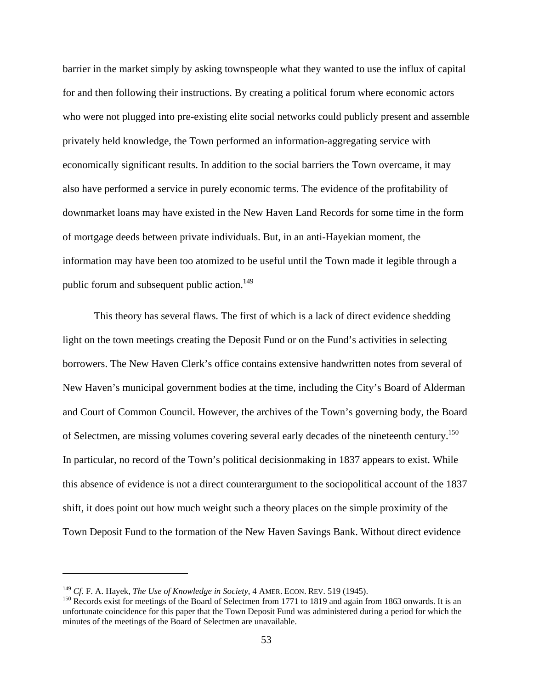barrier in the market simply by asking townspeople what they wanted to use the influx of capital for and then following their instructions. By creating a political forum where economic actors who were not plugged into pre-existing elite social networks could publicly present and assemble privately held knowledge, the Town performed an information-aggregating service with economically significant results. In addition to the social barriers the Town overcame, it may also have performed a service in purely economic terms. The evidence of the profitability of downmarket loans may have existed in the New Haven Land Records for some time in the form of mortgage deeds between private individuals. But, in an anti-Hayekian moment, the information may have been too atomized to be useful until the Town made it legible through a public forum and subsequent public action.<sup>149</sup>

This theory has several flaws. The first of which is a lack of direct evidence shedding light on the town meetings creating the Deposit Fund or on the Fund's activities in selecting borrowers. The New Haven Clerk's office contains extensive handwritten notes from several of New Haven's municipal government bodies at the time, including the City's Board of Alderman and Court of Common Council. However, the archives of the Town's governing body, the Board of Selectmen, are missing volumes covering several early decades of the nineteenth century.<sup>150</sup> In particular, no record of the Town's political decisionmaking in 1837 appears to exist. While this absence of evidence is not a direct counterargument to the sociopolitical account of the 1837 shift, it does point out how much weight such a theory places on the simple proximity of the Town Deposit Fund to the formation of the New Haven Savings Bank. Without direct evidence

<u>.</u>

<sup>&</sup>lt;sup>149</sup> *Cf.* F. A. Hayek, *The Use of Knowledge in Society*, 4 AMER. ECON. REV. 519 (1945).<br><sup>150</sup> Records exist for meetings of the Board of Selectmen from 1771 to 1819 and again from 1863 onwards. It is an unfortunate coincidence for this paper that the Town Deposit Fund was administered during a period for which the minutes of the meetings of the Board of Selectmen are unavailable.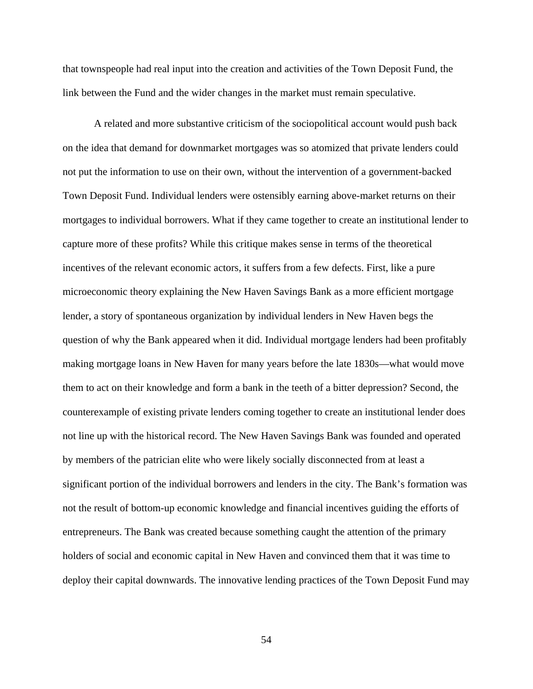that townspeople had real input into the creation and activities of the Town Deposit Fund, the link between the Fund and the wider changes in the market must remain speculative.

A related and more substantive criticism of the sociopolitical account would push back on the idea that demand for downmarket mortgages was so atomized that private lenders could not put the information to use on their own, without the intervention of a government-backed Town Deposit Fund. Individual lenders were ostensibly earning above-market returns on their mortgages to individual borrowers. What if they came together to create an institutional lender to capture more of these profits? While this critique makes sense in terms of the theoretical incentives of the relevant economic actors, it suffers from a few defects. First, like a pure microeconomic theory explaining the New Haven Savings Bank as a more efficient mortgage lender, a story of spontaneous organization by individual lenders in New Haven begs the question of why the Bank appeared when it did. Individual mortgage lenders had been profitably making mortgage loans in New Haven for many years before the late 1830s—what would move them to act on their knowledge and form a bank in the teeth of a bitter depression? Second, the counterexample of existing private lenders coming together to create an institutional lender does not line up with the historical record. The New Haven Savings Bank was founded and operated by members of the patrician elite who were likely socially disconnected from at least a significant portion of the individual borrowers and lenders in the city. The Bank's formation was not the result of bottom-up economic knowledge and financial incentives guiding the efforts of entrepreneurs. The Bank was created because something caught the attention of the primary holders of social and economic capital in New Haven and convinced them that it was time to deploy their capital downwards. The innovative lending practices of the Town Deposit Fund may

54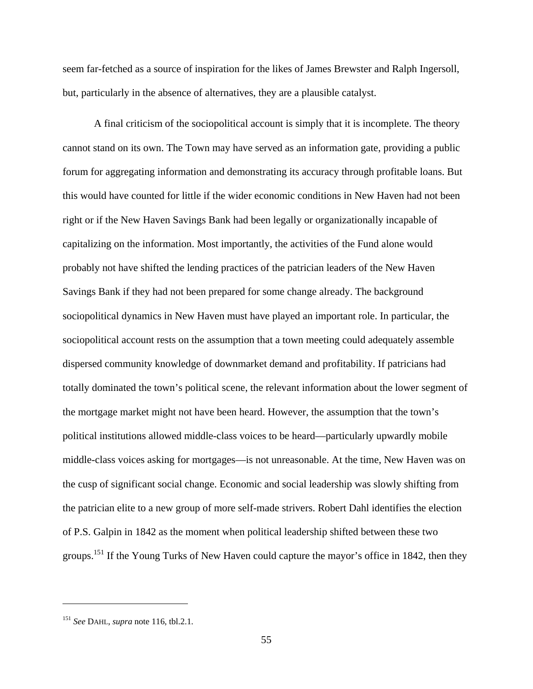seem far-fetched as a source of inspiration for the likes of James Brewster and Ralph Ingersoll, but, particularly in the absence of alternatives, they are a plausible catalyst.

A final criticism of the sociopolitical account is simply that it is incomplete. The theory cannot stand on its own. The Town may have served as an information gate, providing a public forum for aggregating information and demonstrating its accuracy through profitable loans. But this would have counted for little if the wider economic conditions in New Haven had not been right or if the New Haven Savings Bank had been legally or organizationally incapable of capitalizing on the information. Most importantly, the activities of the Fund alone would probably not have shifted the lending practices of the patrician leaders of the New Haven Savings Bank if they had not been prepared for some change already. The background sociopolitical dynamics in New Haven must have played an important role. In particular, the sociopolitical account rests on the assumption that a town meeting could adequately assemble dispersed community knowledge of downmarket demand and profitability. If patricians had totally dominated the town's political scene, the relevant information about the lower segment of the mortgage market might not have been heard. However, the assumption that the town's political institutions allowed middle-class voices to be heard—particularly upwardly mobile middle-class voices asking for mortgages—is not unreasonable. At the time, New Haven was on the cusp of significant social change. Economic and social leadership was slowly shifting from the patrician elite to a new group of more self-made strivers. Robert Dahl identifies the election of P.S. Galpin in 1842 as the moment when political leadership shifted between these two groups.151 If the Young Turks of New Haven could capture the mayor's office in 1842, then they

<sup>151</sup> *See* DAHL, *supra* note 116, tbl.2.1.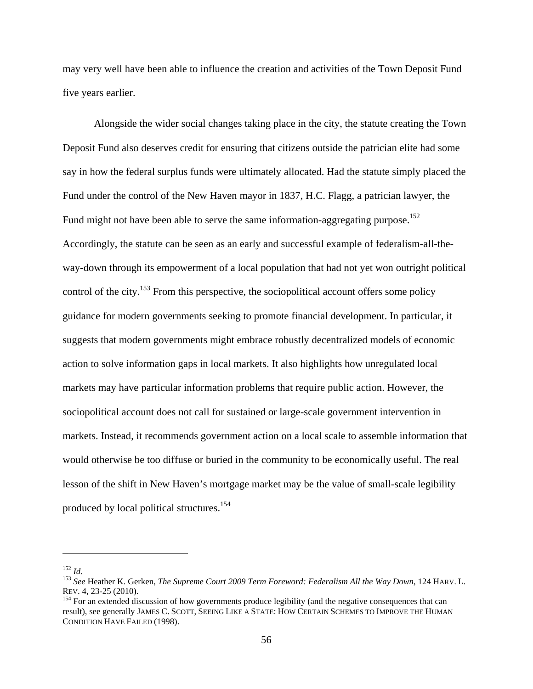may very well have been able to influence the creation and activities of the Town Deposit Fund five years earlier.

Alongside the wider social changes taking place in the city, the statute creating the Town Deposit Fund also deserves credit for ensuring that citizens outside the patrician elite had some say in how the federal surplus funds were ultimately allocated. Had the statute simply placed the Fund under the control of the New Haven mayor in 1837, H.C. Flagg, a patrician lawyer, the Fund might not have been able to serve the same information-aggregating purpose.<sup>152</sup> Accordingly, the statute can be seen as an early and successful example of federalism-all-theway-down through its empowerment of a local population that had not yet won outright political control of the city.<sup>153</sup> From this perspective, the sociopolitical account offers some policy guidance for modern governments seeking to promote financial development. In particular, it suggests that modern governments might embrace robustly decentralized models of economic action to solve information gaps in local markets. It also highlights how unregulated local markets may have particular information problems that require public action. However, the sociopolitical account does not call for sustained or large-scale government intervention in markets. Instead, it recommends government action on a local scale to assemble information that would otherwise be too diffuse or buried in the community to be economically useful. The real lesson of the shift in New Haven's mortgage market may be the value of small-scale legibility produced by local political structures.<sup>154</sup>

<sup>152</sup> *Id.* <sup>153</sup> *See* Heather K. Gerken, *The Supreme Court 2009 Term Foreword: Federalism All the Way Down*, 124 HARV. L.

 $154$  For an extended discussion of how governments produce legibility (and the negative consequences that can result), see generally JAMES C. SCOTT, SEEING LIKE A STATE: HOW CERTAIN SCHEMES TO IMPROVE THE HUMAN CONDITION HAVE FAILED (1998).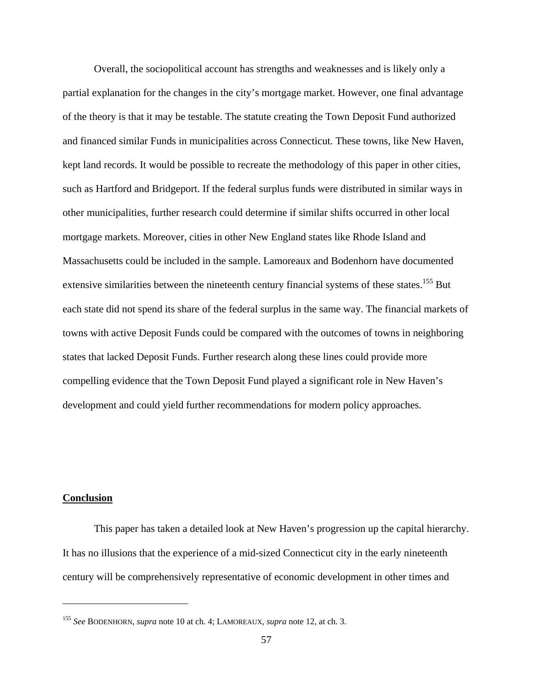Overall, the sociopolitical account has strengths and weaknesses and is likely only a partial explanation for the changes in the city's mortgage market. However, one final advantage of the theory is that it may be testable. The statute creating the Town Deposit Fund authorized and financed similar Funds in municipalities across Connecticut. These towns, like New Haven, kept land records. It would be possible to recreate the methodology of this paper in other cities, such as Hartford and Bridgeport. If the federal surplus funds were distributed in similar ways in other municipalities, further research could determine if similar shifts occurred in other local mortgage markets. Moreover, cities in other New England states like Rhode Island and Massachusetts could be included in the sample. Lamoreaux and Bodenhorn have documented extensive similarities between the nineteenth century financial systems of these states.<sup>155</sup> But each state did not spend its share of the federal surplus in the same way. The financial markets of towns with active Deposit Funds could be compared with the outcomes of towns in neighboring states that lacked Deposit Funds. Further research along these lines could provide more compelling evidence that the Town Deposit Fund played a significant role in New Haven's development and could yield further recommendations for modern policy approaches.

### **Conclusion**

<u>.</u>

This paper has taken a detailed look at New Haven's progression up the capital hierarchy. It has no illusions that the experience of a mid-sized Connecticut city in the early nineteenth century will be comprehensively representative of economic development in other times and

<sup>155</sup> *See* BODENHORN, *supra* note 10 at ch. 4; LAMOREAUX, *supra* note 12, at ch. 3.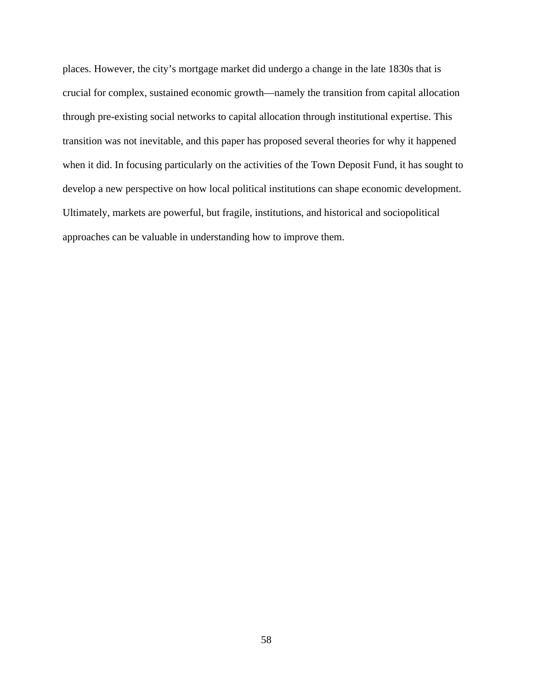places. However, the city's mortgage market did undergo a change in the late 1830s that is crucial for complex, sustained economic growth—namely the transition from capital allocation through pre-existing social networks to capital allocation through institutional expertise. This transition was not inevitable, and this paper has proposed several theories for why it happened when it did. In focusing particularly on the activities of the Town Deposit Fund, it has sought to develop a new perspective on how local political institutions can shape economic development. Ultimately, markets are powerful, but fragile, institutions, and historical and sociopolitical approaches can be valuable in understanding how to improve them.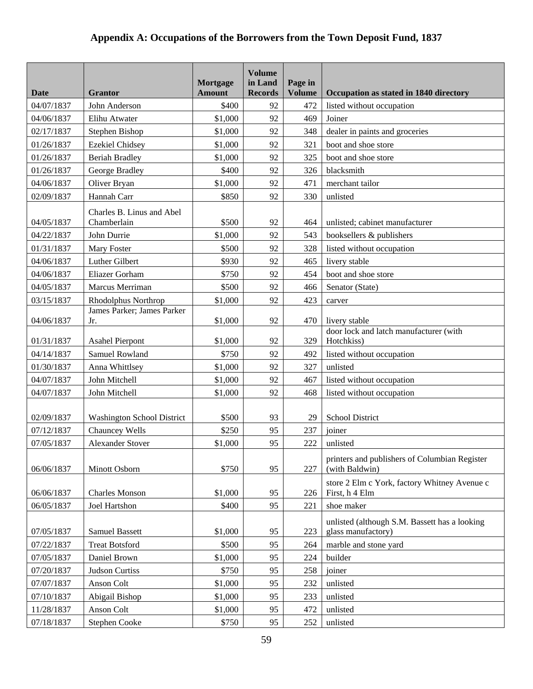# **Appendix A: Occupations of the Borrowers from the Town Deposit Fund, 1837**

| Date       | <b>Grantor</b>                           | Mortgage<br><b>Amount</b> | <b>Volume</b><br>in Land<br><b>Records</b> | Page in<br><b>Volume</b> | Occupation as stated in 1840 directory                              |
|------------|------------------------------------------|---------------------------|--------------------------------------------|--------------------------|---------------------------------------------------------------------|
| 04/07/1837 | John Anderson                            | \$400                     | 92                                         | 472                      | listed without occupation                                           |
| 04/06/1837 | Elihu Atwater                            | \$1,000                   | 92                                         | 469                      | Joiner                                                              |
| 02/17/1837 | Stephen Bishop                           | \$1,000                   | 92                                         | 348                      | dealer in paints and groceries                                      |
| 01/26/1837 | <b>Ezekiel Chidsey</b>                   | \$1,000                   | 92                                         | 321                      | boot and shoe store                                                 |
| 01/26/1837 | <b>Beriah Bradley</b>                    | \$1,000                   | 92                                         | 325                      | boot and shoe store                                                 |
| 01/26/1837 | George Bradley                           | \$400                     | 92                                         | 326                      | blacksmith                                                          |
| 04/06/1837 | Oliver Bryan                             | \$1,000                   | 92                                         | 471                      | merchant tailor                                                     |
| 02/09/1837 | Hannah Carr                              | \$850                     | 92                                         | 330                      | unlisted                                                            |
| 04/05/1837 | Charles B. Linus and Abel<br>Chamberlain | \$500                     | 92                                         | 464                      | unlisted; cabinet manufacturer                                      |
| 04/22/1837 | John Durrie                              | \$1,000                   | 92                                         | 543                      | booksellers & publishers                                            |
| 01/31/1837 | Mary Foster                              | \$500                     | 92                                         | 328                      | listed without occupation                                           |
| 04/06/1837 | Luther Gilbert                           | \$930                     | 92                                         | 465                      | livery stable                                                       |
| 04/06/1837 | Eliazer Gorham                           | \$750                     | 92                                         | 454                      | boot and shoe store                                                 |
| 04/05/1837 | Marcus Merriman                          | \$500                     | 92                                         | 466                      | Senator (State)                                                     |
| 03/15/1837 | Rhodolphus Northrop                      | \$1,000                   | 92                                         | 423                      | carver                                                              |
| 04/06/1837 | James Parker; James Parker<br>Jr.        | \$1,000                   | 92                                         | 470                      | livery stable<br>door lock and latch manufacturer (with             |
| 01/31/1837 | <b>Asahel Pierpont</b>                   | \$1,000                   | 92                                         | 329                      | Hotchkiss)                                                          |
| 04/14/1837 | Samuel Rowland                           | \$750                     | 92                                         | 492                      | listed without occupation                                           |
| 01/30/1837 | Anna Whittlsey                           | \$1,000                   | 92                                         | 327                      | unlisted                                                            |
| 04/07/1837 | John Mitchell                            | \$1,000                   | 92                                         | 467                      | listed without occupation                                           |
| 04/07/1837 | John Mitchell                            | \$1,000                   | 92                                         | 468                      | listed without occupation                                           |
| 02/09/1837 | <b>Washington School District</b>        | \$500                     | 93                                         | 29                       | <b>School District</b>                                              |
| 07/12/1837 | Chauncey Wells                           | \$250                     | 95                                         | 237                      | joiner                                                              |
| 07/05/1837 | <b>Alexander Stover</b>                  | \$1,000                   | 95                                         | 222                      | unlisted                                                            |
| 06/06/1837 | Minott Osborn                            | \$750                     | 95                                         | 227                      | printers and publishers of Columbian Register<br>(with Baldwin)     |
| 06/06/1837 | <b>Charles Monson</b>                    | \$1,000                   | 95                                         | 226                      | store 2 Elm c York, factory Whitney Avenue c<br>First, h 4 Elm      |
| 06/05/1837 | <b>Joel Hartshon</b>                     | \$400                     | 95                                         | 221                      | shoe maker                                                          |
| 07/05/1837 | Samuel Bassett                           | \$1,000                   | 95                                         | 223                      | unlisted (although S.M. Bassett has a looking<br>glass manufactory) |
| 07/22/1837 | <b>Treat Botsford</b>                    | \$500                     | 95                                         | 264                      | marble and stone yard                                               |
| 07/05/1837 | Daniel Brown                             | \$1,000                   | 95                                         | 224                      | builder                                                             |
| 07/20/1837 | Judson Curtiss                           | \$750                     | 95                                         | 258                      | joiner                                                              |
| 07/07/1837 | Anson Colt                               | \$1,000                   | 95                                         | 232                      | unlisted                                                            |
| 07/10/1837 | Abigail Bishop                           | \$1,000                   | 95                                         | 233                      | unlisted                                                            |
| 11/28/1837 | Anson Colt                               | \$1,000                   | 95                                         | 472                      | unlisted                                                            |
| 07/18/1837 | Stephen Cooke                            | \$750                     | 95                                         | 252                      | unlisted                                                            |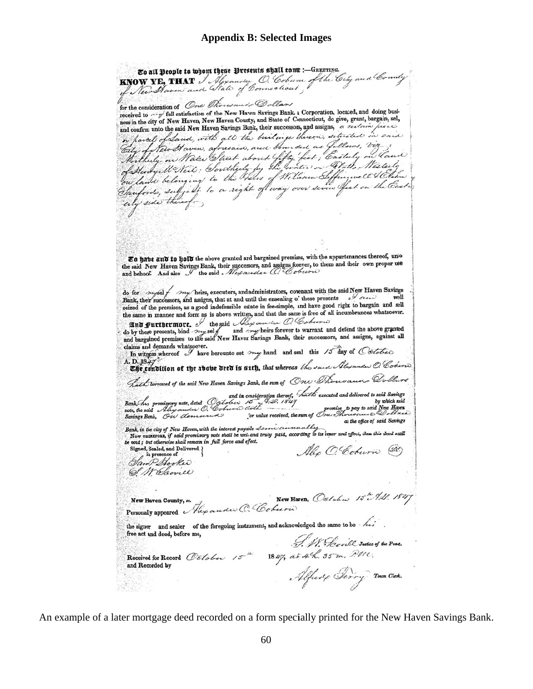To all People to whom these Presents shall tome :- GREETING. EO all people to wom tyese presences syan com. The City and County for the consideration of One Thousand Dollars received to say full satisfaction of the New Haven Savings Bank. a Corporation, located, and doing busineceived to may full satisfaction of the New Haven County, and State of Connecticut, do give, grant, bargain, sell, ness in the city of New Haven New Haven County, and State of Connecticut, do give, grant, bargain, sel,<br>and confirm unto the said New Haven Savings Bank, their successors, and assigns, a certain processor<br>in partiel of Sau City of New Haven, aforesaid, and bounded as Jollows, voy ?<br>Mortherly on Mater Street about Gifty (feet; Eastuly on Canic)<br>on lawer belonging to the Theirs of William Seffingwell Clehn:<br>Sanfords, subject to a right of way city side there To have and to hold the above granted and bargained premises, with the appurtenances thereof, unio **E0 Have and 10 Hotel the showe granted and bargamed premises, which experiments the said.** New Haven Savings Bank, their successors, and assigns forever, to them and their own proper use and behoof. And also the said Ale do for mysel / my/heirs, executors, and administrators, covenant with the said New Haven Savings do for their successors, and assigns, that at and until the ensealing of these presents and the same that is the same section of the premises, as a good indefeasible estate in fee-simple, and have good right to bargain and the same in manner and form as is above written, and that the same is free of all incumbrances whatsoever. and furthermore, the said Aly and the content of do by these presents, bind my self and my heirs forever to warrant and defend the above granted and bargained premises to the said New Haven Savings Bank, their successors, and assigns, against all claims and demands whatsoever.<br>In witness whereof I have hereunto set my hand and seal this 15 day of Colotier A. D. 1845 D. 1847<br>**The condition of the ibobe deed is suth, that whereas** the said Alyander O. Cobert hath borrowed of the said New Haven Savings Bank, the sum of One Thousand Qollars hath borrowed of the said New Haven Savings Bank, the sum of One Thousands and delivered to said Savings<br>Bank, his promissory note, dated Oglober 20. 1827, 1827<br>promise to pay to said New Haven<br>Savings Bank, On demeured fo or answer and the sum of One of the same of the said New Haven<br>for value received, the sum of One Meridian shows the of the Saven<br>for value received, the sum of One Meridian shows the of the of the strain at the office of said Savings<br>Now runshing and the interest payable Learn curricully<br>Now runshing is and prominently paid, according to its leaver and effect, then this deed shall be void; but otherwise shall remain in full force and effect. Signed, Sealed, and Delivered. Also O'Coburn (20) in presen ce of Sam Sooke 61 M Davie New Haren, October 15th 9.1. 1847 New Haven County, es. Personally appeared Hey and W. C. Coburn the signer and sealer of the foregoing instrument, and acknowledged the same to be  $\overrightarrow{he}$ free act and deed, before me,<br>Received for Record Célober 15<sup>th</sup> 1847, at 44. 35m, All t.<br>and Recorded by<br>Alfect Cerry Town Clerk. free act and deed, before me, 전쟁이

An example of a later mortgage deed recorded on a form specially printed for the New Haven Savings Bank.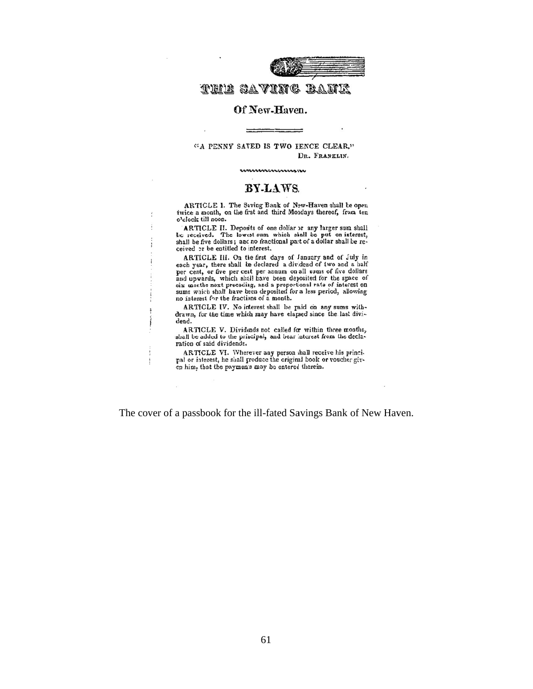

# THIE SAVING BANK

#### Of New-Haven.

 $-$ 

#### "A PENNY SAVED IS TWO FENCE CLEAR." DR. FRANELIN.

mmmmmmm

#### BY-LAWS.

ARTICLE 1. The Saving Bank of New-Haven shall be open twice a month, on the first and third Mondays thereof, from ten o'clock till noon.

ARTICLE II. Deposits of one dollar or any larger sum shall loc received. The lowest sum which shall be put on interest, shall be five dollars; and no fractional part of a dollar shall be received or be entitled to interest.

j

ARTICLE III. On the first days of January and of July in each year, there shall be declared a dividend of two and a half per cent, or five per cent per annum on all sums of five dollars and upwards, which shall have been deposited for the space of six months next preceding, and a proportional rate of interest on<br>sums which shall have been deposited for a less period, allowing no interest for the fractions of a month.

ARTICLE IV. No interest shall be paid on any sums with-<br>drawn, for the time which may have elapsed since the last dividend.

ARTICLE V. Dividends not called for within three months, shall be added to the principal, and bear interest from the declaration of said dividends.

ARTICLE VI. Whenever any person shall receive his principal or interest, he shall produce the original book or voucher given him, that the payments may be entered therein.

The cover of a passbook for the ill-fated Savings Bank of New Haven.